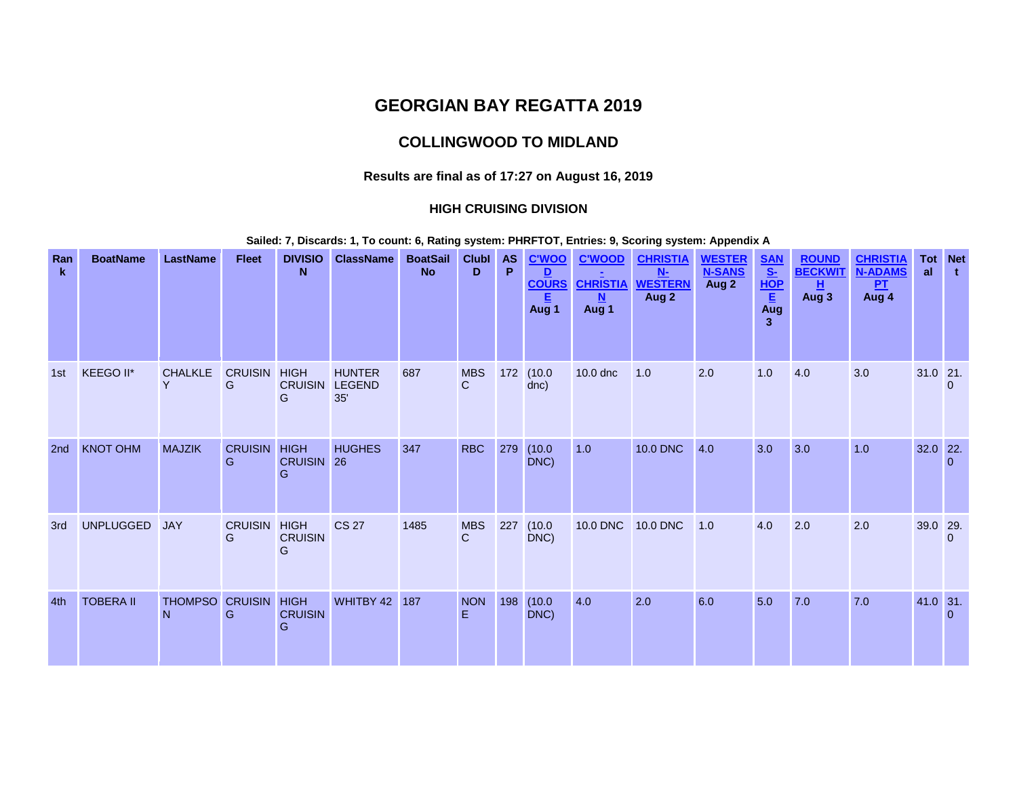# **GEORGIAN BAY REGATTA 2019**

# **COLLINGWOOD TO MIDLAND**

### **Results are final as of 17:27 on August 16, 2019**

### **HIGH CRUISING DIVISION**

**Sailed: 7, Discards: 1, To count: 6, Rating system: PHRFTOT, Entries: 9, Scoring system: Appendix A**

| Ran<br>$\mathbf{k}$ | <b>BoatName</b>  | <b>LastName</b>     | <b>Fleet</b>             | <b>DIVISIO</b><br>N                | <b>ClassName</b>                      | <b>BoatSail</b><br><b>No</b> | <b>Clubl</b><br>D | <b>AS</b><br>P | <b>C'WOO</b><br>D<br><b>COURS</b><br>Aug 1 | <b>C'WOOD</b><br><b>CHRISTIA</b><br>N<br>Aug 1 | <b>CHRISTIA</b><br>$N-$<br><b>WESTERN</b><br>Aug 2 | <b>WESTER</b><br><b>N-SANS</b><br>Aug 2 | $\frac{\frac{SAN}{S}}{HOP}$<br>Aug<br>$\overline{3}$ | <b>ROUND</b><br><b>BECKWIT</b><br>н<br>Aug 3 | <b>CHRISTIA</b><br><b>N-ADAMS</b><br>P <sub>T</sub><br>$Aug$ <sup>4</sup> | al       | <b>Tot</b> Net<br>$\mathbf{t}$ |
|---------------------|------------------|---------------------|--------------------------|------------------------------------|---------------------------------------|------------------------------|-------------------|----------------|--------------------------------------------|------------------------------------------------|----------------------------------------------------|-----------------------------------------|------------------------------------------------------|----------------------------------------------|---------------------------------------------------------------------------|----------|--------------------------------|
| 1st                 | KEEGO II*        | <b>CHALKLE</b><br>Y | <b>CRUISIN</b><br>G      | <b>HIGH</b><br><b>CRUISIN</b><br>G | <b>HUNTER</b><br><b>LEGEND</b><br>35' | 687                          | <b>MBS</b><br>C   |                | 172 (10.0<br>dnc)                          | 10.0 dnc                                       | 1.0                                                | 2.0                                     | 1.0                                                  | 4.0                                          | 3.0                                                                       | 31.0 21. | $\Omega$                       |
| 2 <sub>nd</sub>     | <b>KNOT OHM</b>  | <b>MAJZIK</b>       | <b>CRUISIN HIGH</b><br>G | CRUISIN 26<br>G                    | <b>HUGHES</b>                         | 347                          | <b>RBC</b>        | 279            | (10.0)<br>DNC)                             | 1.0                                            | 10.0 DNC                                           | 4.0                                     | 3.0                                                  | 3.0                                          | 1.0                                                                       | 32.0 22. | $\Omega$                       |
| 3rd                 | <b>UNPLUGGED</b> | <b>JAY</b>          | <b>CRUISIN</b><br>G      | <b>HIGH</b><br><b>CRUISIN</b><br>G | <b>CS 27</b>                          | 1485                         | <b>MBS</b><br>C   | 227            | (10.0)<br>DNC)                             | 10.0 DNC                                       | <b>10.0 DNC</b>                                    | 1.0                                     | 4.0                                                  | 2.0                                          | 2.0                                                                       | 39.0 29. | $\mathbf{0}$                   |
| 4th                 | <b>TOBERA II</b> | <b>THOMPSO</b><br>N | <b>CRUISIN HIGH</b><br>G | <b>CRUISIN</b><br>G                | WHITBY 42                             | 187                          | <b>NON</b><br>F   | 198            | (10.0)<br>DNC)                             | 4.0                                            | 2.0                                                | 6.0                                     | 5.0                                                  | 7.0                                          | 7.0                                                                       | 41.0 31. | $\overline{0}$                 |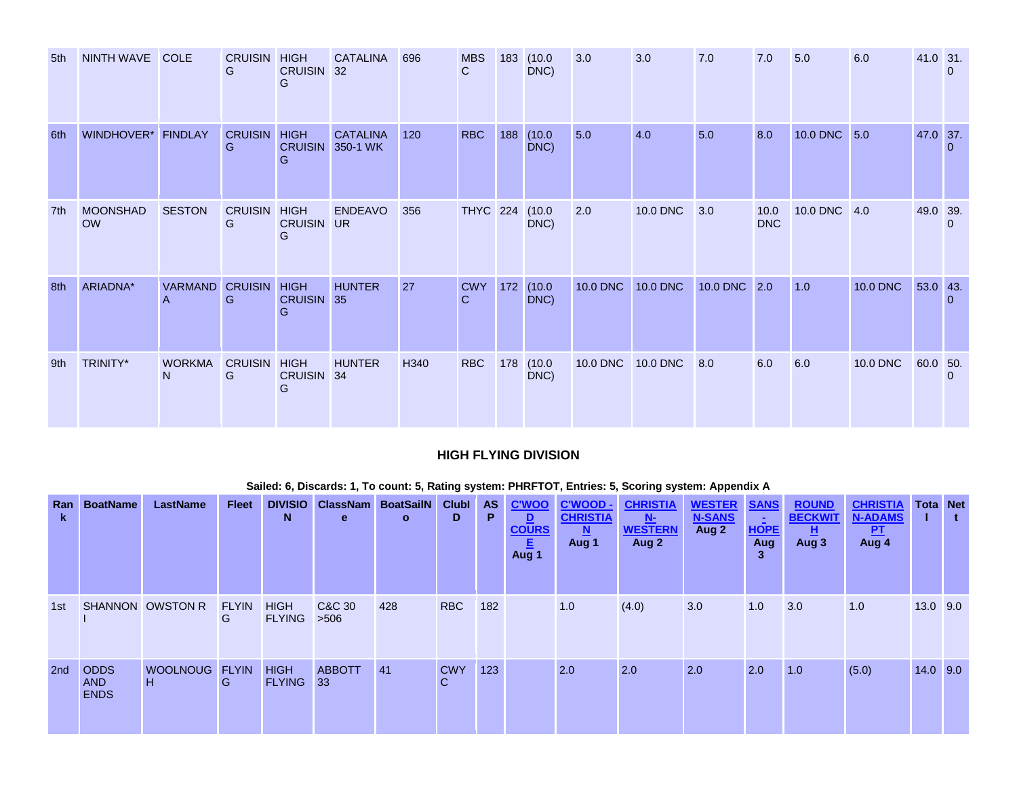| 5th | NINTH WAVE COLE              |                                 | <b>CRUISIN HIGH</b><br>G | <b>CRUISIN</b><br>G                | <b>CATALINA</b><br>32       | 696  | <b>MBS</b><br>C.           | 183 (10.0<br>DNC) | 3.0             | 3.0             | 7.0          | 7.0                | 5.0          | 6.0             | 41.0 31. | $\Omega$       |
|-----|------------------------------|---------------------------------|--------------------------|------------------------------------|-----------------------------|------|----------------------------|-------------------|-----------------|-----------------|--------------|--------------------|--------------|-----------------|----------|----------------|
| 6th | WINDHOVER* FINDLAY           |                                 | <b>CRUISIN</b><br>G      | <b>HIGH</b><br><b>CRUISIN</b><br>G | <b>CATALINA</b><br>350-1 WK | 120  | <b>RBC</b>                 | 188 (10.0<br>DNC) | 5.0             | 4.0             | 5.0          | 8.0                | 10.0 DNC 5.0 |                 | 47.0 37. | $\Omega$       |
| 7th | <b>MOONSHAD</b><br><b>OW</b> | <b>SESTON</b>                   | <b>CRUISIN</b><br>G      | <b>HIGH</b><br><b>CRUISIN</b><br>G | <b>ENDEAVO</b><br><b>UR</b> | 356  | THYC 224 (10.0             | DNC)              | 2.0             | 10.0 DNC        | 3.0          | 10.0<br><b>DNC</b> | 10.0 DNC 4.0 |                 | 49.0 39. | $\overline{0}$ |
| 8th | ARIADNA*                     | VARMAND CRUISIN<br>$\mathsf{A}$ | G                        | <b>HIGH</b><br><b>CRUISIN</b><br>G | <b>HUNTER</b><br>35         | 27   | <b>CWY</b><br>$\mathsf{C}$ | 172 (10.0<br>DNC) | <b>10.0 DNC</b> | <b>10.0 DNC</b> | 10.0 DNC 2.0 |                    | 1.0          | <b>10.0 DNC</b> | 53.0 43. | $\Omega$       |
| 9th | TRINITY*                     | <b>WORKMA</b><br>N <sub>1</sub> | <b>CRUISIN HIGH</b><br>G | CRUISIN 34<br>G                    | <b>HUNTER</b>               | H340 | <b>RBC</b>                 | 178 (10.0<br>DNC) | 10.0 DNC        | <b>10.0 DNC</b> | 8.0          | 6.0                | 6.0          | 10.0 DNC        | 60.0 50. | $\Omega$       |

## **HIGH FLYING DIVISION**

| Ran<br>k        | <b>BoatName</b>                          | <b>LastName</b>     | <b>Fleet</b>      | <b>DIVISIO</b><br>N          | <b>ClassNam BoatSailN</b><br>e | $\mathbf{o}$ | ClubI<br>D       | AS<br>P. | <b>C'WOO</b><br>$\mathbf{D}$<br><b>COURS</b><br>旧<br>Aug 1 | C'WOOD -<br><b>CHRISTIA</b><br>$\mathbf{M}$<br>Aug 1 | <b>CHRISTIA</b><br>$N$ -<br><b>WESTERN</b><br>Aug 2 | <b>WESTER</b><br><b>N-SANS</b><br>Aug 2 | <b>SANS</b><br>Ξ.<br><b>HOPE</b><br>Aug<br>3 | <b>ROUND</b><br><b>BECKWIT</b><br>且<br>Aug 3 | <b>CHRISTIA</b><br><b>N-ADAMS</b><br><u>PT</u><br>Aug 4 | <b>Tota Net</b> | t. |
|-----------------|------------------------------------------|---------------------|-------------------|------------------------------|--------------------------------|--------------|------------------|----------|------------------------------------------------------------|------------------------------------------------------|-----------------------------------------------------|-----------------------------------------|----------------------------------------------|----------------------------------------------|---------------------------------------------------------|-----------------|----|
| 1st             |                                          | SHANNON OWSTON R    | <b>FLYIN</b><br>G | <b>HIGH</b><br><b>FLYING</b> | C&C 30<br>>506                 | 428          | <b>RBC</b>       | 182      |                                                            | 1.0                                                  | (4.0)                                               | 3.0                                     | 1.0                                          | 3.0                                          | 1.0                                                     | 13.0 9.0        |    |
| 2 <sub>nd</sub> | <b>ODDS</b><br><b>AND</b><br><b>ENDS</b> | WOOLNOUG FLYIN<br>H | G                 | <b>HIGH</b><br><b>FLYING</b> | <b>ABBOTT</b><br>33            | 41           | <b>CWY</b><br>C. | 123      |                                                            | 2.0                                                  | 2.0                                                 | 2.0                                     | 2.0                                          | 1.0                                          | (5.0)                                                   | $14.0$ 9.0      |    |

### **Sailed: 6, Discards: 1, To count: 5, Rating system: PHRFTOT, Entries: 5, Scoring system: Appendix A**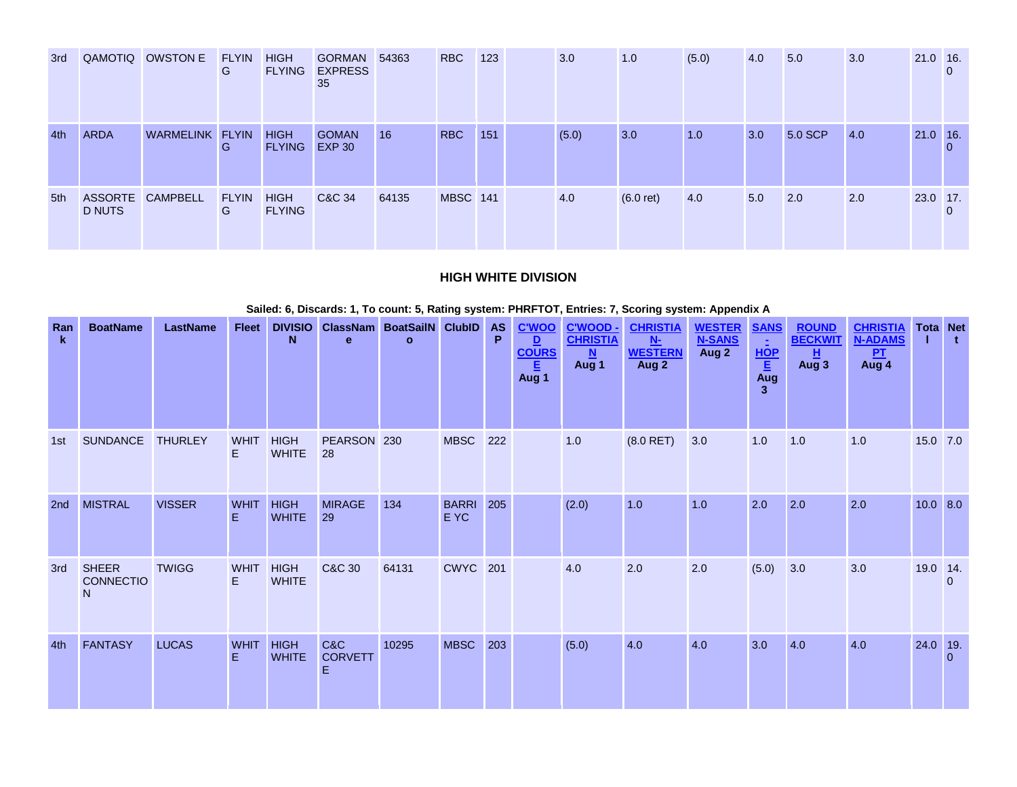| 3rd |               | QAMOTIQ OWSTON E | <b>FLYIN</b><br>G | <b>HIGH</b><br><b>FLYING</b> | <b>GORMAN</b><br><b>EXPRESS</b><br>35 | 54363 | <b>RBC</b>      | 123 | 3.0   | 1.0         | (5.0) | 4.0 | 5.0     | 3.0 | $21.0$ 16. |          |
|-----|---------------|------------------|-------------------|------------------------------|---------------------------------------|-------|-----------------|-----|-------|-------------|-------|-----|---------|-----|------------|----------|
| 4th | <b>ARDA</b>   | WARMELINK FLYIN  | G                 | <b>HIGH</b><br><b>FLYING</b> | <b>GOMAN</b><br><b>EXP 30</b>         | 16    | <b>RBC</b>      | 151 | (5.0) | 3.0         | 1.0   | 3.0 | 5.0 SCP | 4.0 | 21.0 16.   | 0        |
| 5th | <b>D NUTS</b> | ASSORTE CAMPBELL | <b>FLYIN</b><br>G | <b>HIGH</b><br><b>FLYING</b> | C&C 34                                | 64135 | <b>MBSC 141</b> |     | 4.0   | $(6.0$ ret) | 4.0   | 5.0 | 2.0     | 2.0 | 23.0 17.   | $\Omega$ |

### **HIGH WHITE DIVISION**

|                 |                                             |                 |                   |                             |                                           |              |                          |     |                                                  |                                                            | Sailed: 6, Discards: 1, To count: 5, Rating system: PHRFTOT, Entries: 7, Scoring system: Appendix A |                                         |                                                           |                                              |                                                       |                 |                |
|-----------------|---------------------------------------------|-----------------|-------------------|-----------------------------|-------------------------------------------|--------------|--------------------------|-----|--------------------------------------------------|------------------------------------------------------------|-----------------------------------------------------------------------------------------------------|-----------------------------------------|-----------------------------------------------------------|----------------------------------------------|-------------------------------------------------------|-----------------|----------------|
| Ran<br>k.       | <b>BoatName</b>                             | <b>LastName</b> | <b>Fleet</b>      | N                           | DIVISIO ClassNam BoatSailN ClubID AS<br>e | $\mathbf{o}$ |                          | P.  | <b>C'WOO</b><br>D.<br><b>COURS</b><br>固<br>Aug 1 | <b>C'WOOD -</b><br><b>CHRISTIA</b><br>$\mathbf N$<br>Aug 1 | <b>CHRISTIA</b><br>$N$ -<br><b>WESTERN</b><br>Aug 2                                                 | <b>WESTER</b><br><b>N-SANS</b><br>Aug 2 | <b>SANS</b><br>$\frac{\frac{1}{HOP}}{\frac{E}{Aug}}$<br>3 | <b>ROUND</b><br><b>BECKWIT</b><br>н<br>Aug 3 | <b>CHRISTIA</b><br><b>N-ADAMS</b><br>$rac{PT}{Aug 4}$ | <b>Tota Net</b> | t.             |
| 1st             | <b>SUNDANCE</b>                             | <b>THURLEY</b>  | <b>WHIT</b><br>E. | <b>HIGH</b><br><b>WHITE</b> | PEARSON 230<br>28                         |              | <b>MBSC</b>              | 222 |                                                  | 1.0                                                        | $(8.0$ RET)                                                                                         | 3.0                                     | 1.0                                                       | 1.0                                          | 1.0                                                   | 15.0 7.0        |                |
| 2 <sub>nd</sub> | <b>MISTRAL</b>                              | <b>VISSER</b>   | <b>WHIT</b><br>E. | <b>HIGH</b><br><b>WHITE</b> | <b>MIRAGE</b><br>29                       | 134          | <b>BARRI</b> 205<br>E YC |     |                                                  | (2.0)                                                      | 1.0                                                                                                 | 1.0                                     | 2.0                                                       | 2.0                                          | 2.0                                                   | $10.0$ 8.0      |                |
| 3rd             | <b>SHEER</b><br>CONNECTIO<br>N <sub>1</sub> | <b>TWIGG</b>    | <b>WHIT</b><br>E. | <b>HIGH</b><br><b>WHITE</b> | C&C 30                                    | 64131        | <b>CWYC</b> 201          |     |                                                  | 4.0                                                        | 2.0                                                                                                 | 2.0                                     | (5.0)                                                     | 3.0                                          | 3.0                                                   | 19.0 14.        | $\mathbf{0}$   |
| 4th             | <b>FANTASY</b>                              | <b>LUCAS</b>    | <b>WHIT</b><br>E  | <b>HIGH</b><br><b>WHITE</b> | C&C<br><b>CORVETT</b><br>F                | 10295        | <b>MBSC</b>              | 203 |                                                  | (5.0)                                                      | 4.0                                                                                                 | 4.0                                     | 3.0                                                       | 4.0                                          | 4.0                                                   | 24.0 19.        | $\overline{0}$ |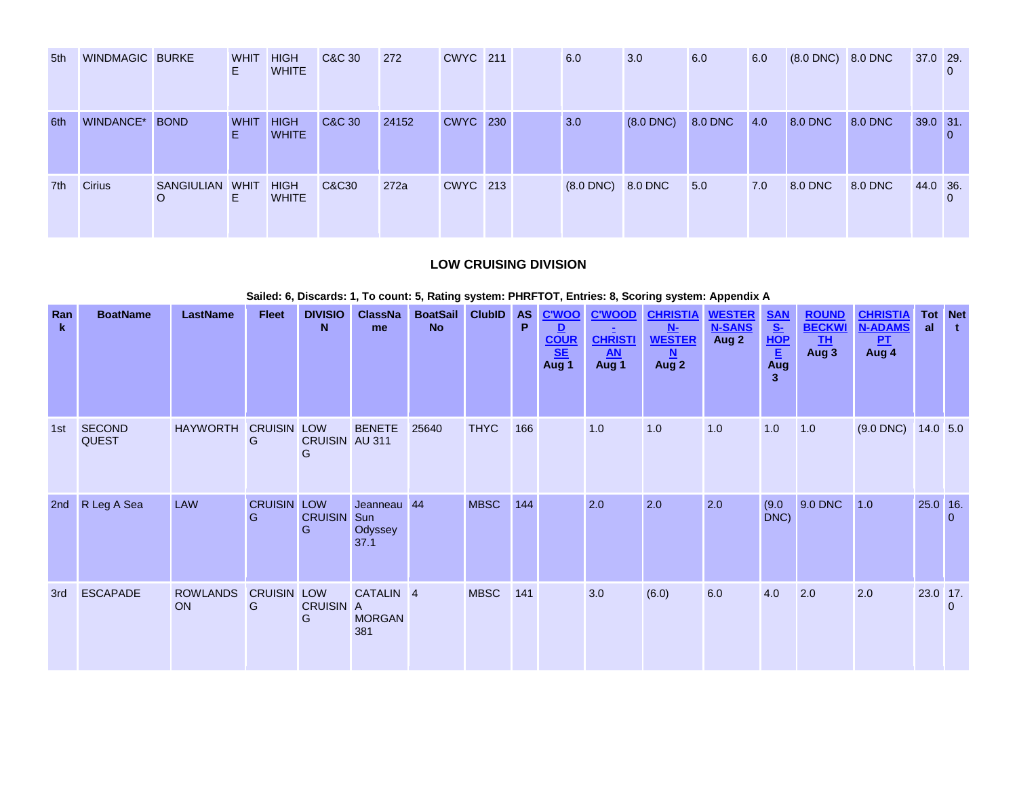| 5th | <b>WINDMAGIC BURKE</b> |                      | <b>WHIT</b><br>E. | <b>HIGH</b><br><b>WHITE</b> | C&C 30 | 272   | <b>CWYC</b> 211 |  | 6.0                    | 3.0            | 6.0     | 6.0 | $(8.0$ DNC $)$ 8.0 DNC |                | 37.0 29. |  |
|-----|------------------------|----------------------|-------------------|-----------------------------|--------|-------|-----------------|--|------------------------|----------------|---------|-----|------------------------|----------------|----------|--|
| 6th | WINDANCE*              | <b>BOND</b>          | <b>WHIT</b><br>E  | <b>HIGH</b><br><b>WHITE</b> | C&C 30 | 24152 | <b>CWYC</b> 230 |  | 3.0                    | $(8.0$ DNC $)$ | 8.0 DNC | 4.0 | 8.0 DNC                | <b>8.0 DNC</b> | 39.0 31. |  |
| 7th | <b>Cirius</b>          | SANGIULIAN WHIT<br>O | Е.                | <b>HIGH</b><br><b>WHITE</b> | C&C30  | 272a  | <b>CWYC</b> 213 |  | $(8.0$ DNC $)$ 8.0 DNC |                | 5.0     | 7.0 | 8.0 DNC                | 8.0 DNC        | 44.0 36. |  |

## **LOW CRUISING DIVISION**

|                    |                               |                              |                     |                                       |                                              |                              |             |     |                                             |                                                       | Sailed: 6, Discards: 1, To count: 5, Rating system: PHRFTOT, Entries: 8, Scoring system: Appendix A |                                         |                                                                                                                   |                                                     |                                                  |                      |          |
|--------------------|-------------------------------|------------------------------|---------------------|---------------------------------------|----------------------------------------------|------------------------------|-------------|-----|---------------------------------------------|-------------------------------------------------------|-----------------------------------------------------------------------------------------------------|-----------------------------------------|-------------------------------------------------------------------------------------------------------------------|-----------------------------------------------------|--------------------------------------------------|----------------------|----------|
| Ran<br>$\mathbf k$ | <b>BoatName</b>               | <b>LastName</b>              | <b>Fleet</b>        | <b>DIVISIO</b><br>N                   | <b>ClassNa</b><br>me                         | BoatSail ClubID<br><b>No</b> |             | P   | AS C'WOO<br>D<br><b>COUR</b><br>SE<br>Aug 1 | <b>C'WOOD</b><br><b>CHRISTI</b><br><b>AN</b><br>Aug 1 | <b>CHRISTIA</b><br>N-<br><b>WESTER</b><br>N<br>Aug 2                                                | <b>WESTER</b><br><b>N-SANS</b><br>Aug 2 | <b>SAN</b><br>$\frac{\underline{\underline{\mathsf{S}}}{\vdots}}{\underline{\underline{\mathsf{E}}}}$<br>Aug<br>3 | <b>ROUND</b><br><b>BECKWI</b><br><b>TH</b><br>Aug 3 | <b>CHRISTIA</b><br><b>N-ADAMS</b><br>PL<br>Aug 4 | <b>Tot</b> Net<br>al | t.       |
| 1st                | <b>SECOND</b><br><b>QUEST</b> | <b>HAYWORTH</b>              | <b>CRUISIN</b><br>G | LOW<br>CRUISIN AU 311<br>G            | <b>BENETE</b>                                | 25640                        | <b>THYC</b> | 166 |                                             | 1.0                                                   | 1.0                                                                                                 | 1.0                                     | 1.0                                                                                                               | 1.0                                                 | $(9.0$ DNC $)$                                   | $14.0$ 5.0           |          |
| 2 <sub>nd</sub>    | R Leg A Sea                   | <b>LAW</b>                   | <b>CRUISIN</b><br>G | <b>LOW</b><br><b>CRUISIN</b> Sun<br>G | Jeanneau 44<br>Odyssey<br>37.1               |                              | <b>MBSC</b> | 144 |                                             | 2.0                                                   | 2.0                                                                                                 | 2.0                                     | (9.0)<br>DNC)                                                                                                     | 9.0 DNC                                             | 1.0                                              | $25.0$ 16.           | 0        |
| 3rd                | <b>ESCAPADE</b>               | <b>ROWLANDS</b><br><b>ON</b> | <b>CRUISIN</b><br>G | <b>LOW</b><br>CRUISIN A<br>G          | CATALIN <sub>4</sub><br><b>MORGAN</b><br>381 |                              | <b>MBSC</b> | 141 |                                             | 3.0                                                   | (6.0)                                                                                               | 6.0                                     | 4.0                                                                                                               | 2.0                                                 | 2.0                                              | $23.0$ 17.           | $\Omega$ |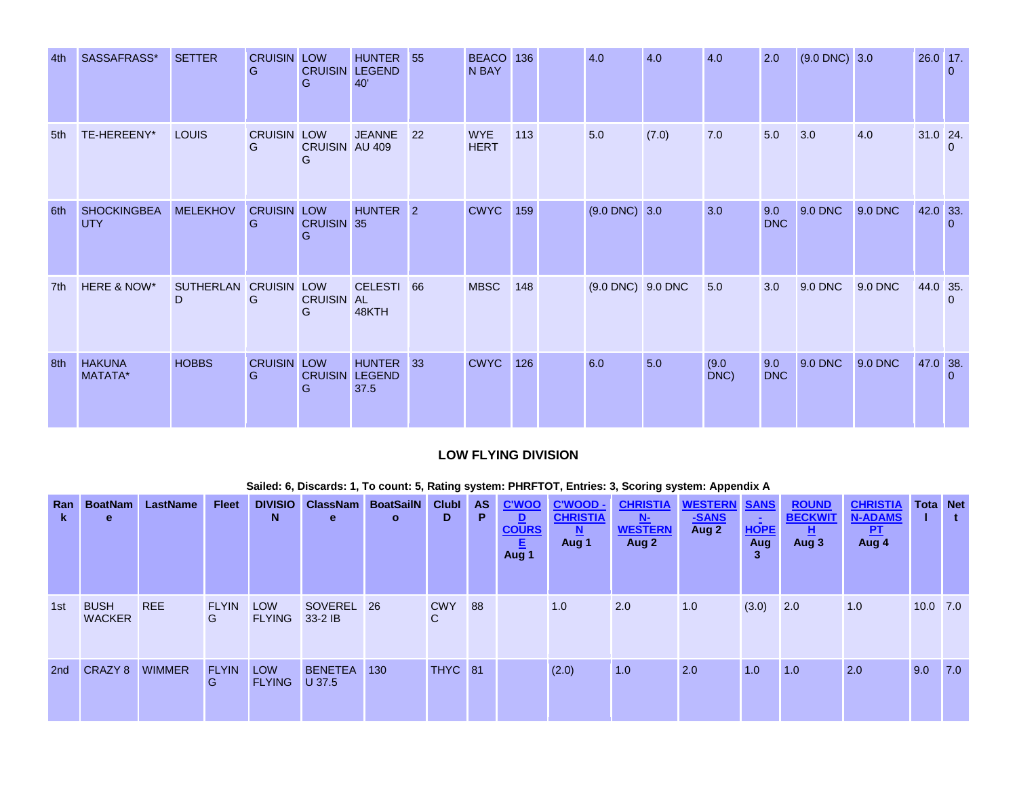| 4th | SASSAFRASS*                      | <b>SETTER</b>               | <b>CRUISIN LOW</b><br>G | <b>CRUISIN LEGEND</b><br>G | <b>HUNTER</b><br>40'                | 55 | BEACO 136<br>N BAY        |     | 4.0               | 4.0   | 4.0           | 2.0               | $(9.0$ DNC) $3.0$ |                | 26.0 17.   | $\overline{0}$ |
|-----|----------------------------------|-----------------------------|-------------------------|----------------------------|-------------------------------------|----|---------------------------|-----|-------------------|-------|---------------|-------------------|-------------------|----------------|------------|----------------|
| 5th | TE-HEREENY*                      | LOUIS                       | <b>CRUISIN LOW</b><br>G | CRUISIN AU 409<br>G        | <b>JEANNE</b>                       | 22 | <b>WYE</b><br><b>HERT</b> | 113 | 5.0               | (7.0) | 7.0           | 5.0               | 3.0               | 4.0            | $31.0$ 24. | $\Omega$       |
| 6th | <b>SHOCKINGBEA</b><br><b>UTY</b> | <b>MELEKHOV</b>             | <b>CRUISIN LOW</b><br>G | CRUISIN 35<br>G            | HUNTER <sub>2</sub>                 |    | <b>CWYC</b> 159           |     | $(9.0$ DNC) 3.0   |       | 3.0           | 9.0<br><b>DNC</b> | 9.0 DNC           | <b>9.0 DNC</b> | 42.0 33.   | $\Omega$       |
| 7th | HERE & NOW*                      | SUTHERLAN CRUISIN LOW<br>D. | G                       | <b>CRUISIN AL</b><br>G     | CELESTI 66<br>48KTH                 |    | <b>MBSC</b>               | 148 | (9.0 DNC) 9.0 DNC |       | 5.0           | 3.0               | 9.0 DNC           | 9.0 DNC        | 44.0 35.   | $\Omega$       |
| 8th | <b>HAKUNA</b><br>MATATA*         | <b>HOBBS</b>                | <b>CRUISIN LOW</b><br>G | G                          | HUNTER 33<br>CRUISIN LEGEND<br>37.5 |    | <b>CWYC</b>               | 126 | 6.0               | 5.0   | (9.0)<br>DNC) | 9.0<br><b>DNC</b> | 9.0 DNC           | 9.0 DNC        | 47.0 38.   | $\Omega$       |

# **LOW FLYING DIVISION**

| Ran<br>k        | <b>BoatNam</b><br>e          | <b>LastName</b> | <b>Fleet</b>      | <b>DIVISIO</b><br>N         | <b>ClassNam</b><br>e     | <b>BoatSailN</b><br>$\mathbf{o}$ | <b>Clubl</b><br>D | <b>AS</b><br>P. | <b>C'WOO</b><br>$\mathbf{D}$<br><b>COURS</b><br>Ε<br>Aug 1 | C'WOOD -<br><b>CHRISTIA</b><br>$\underline{\mathbf{N}}$<br>Aug 1 | <b>CHRISTIA</b><br>N<br><b>WESTERN</b><br>Aug 2 | <b>WESTERN SANS</b><br>-SANS<br>Aug 2 | Ξ.<br><b>HOPE</b><br>Aug<br>3 | <b>ROUND</b><br><b>BECKWIT</b><br>且<br>Aug 3 | <b>CHRISTIA</b><br><b>N-ADAMS</b><br><u>PT</u><br>Aug 4 | <b>Tota Net</b><br>г | t.  |
|-----------------|------------------------------|-----------------|-------------------|-----------------------------|--------------------------|----------------------------------|-------------------|-----------------|------------------------------------------------------------|------------------------------------------------------------------|-------------------------------------------------|---------------------------------------|-------------------------------|----------------------------------------------|---------------------------------------------------------|----------------------|-----|
| 1st             | <b>BUSH</b><br><b>WACKER</b> | <b>REE</b>      | <b>FLYIN</b><br>G | <b>LOW</b><br><b>FLYING</b> | SOVEREL 26<br>33-2 IB    |                                  | <b>CWY</b><br>C   | 88              |                                                            | 1.0                                                              | 2.0                                             | 1.0                                   | (3.0)                         | 2.0                                          | 1.0                                                     | $10.0$ 7.0           |     |
| 2 <sub>nd</sub> | CRAZY 8                      | <b>WIMMER</b>   | <b>FLYIN</b><br>G | <b>LOW</b><br><b>FLYING</b> | <b>BENETEA</b><br>U 37.5 | 130                              | THYC 81           |                 |                                                            | (2.0)                                                            | 1.0                                             | 2.0                                   | 1.0                           | 1.0                                          | 2.0                                                     | 9.0                  | 7.0 |

### **Sailed: 6, Discards: 1, To count: 5, Rating system: PHRFTOT, Entries: 3, Scoring system: Appendix A**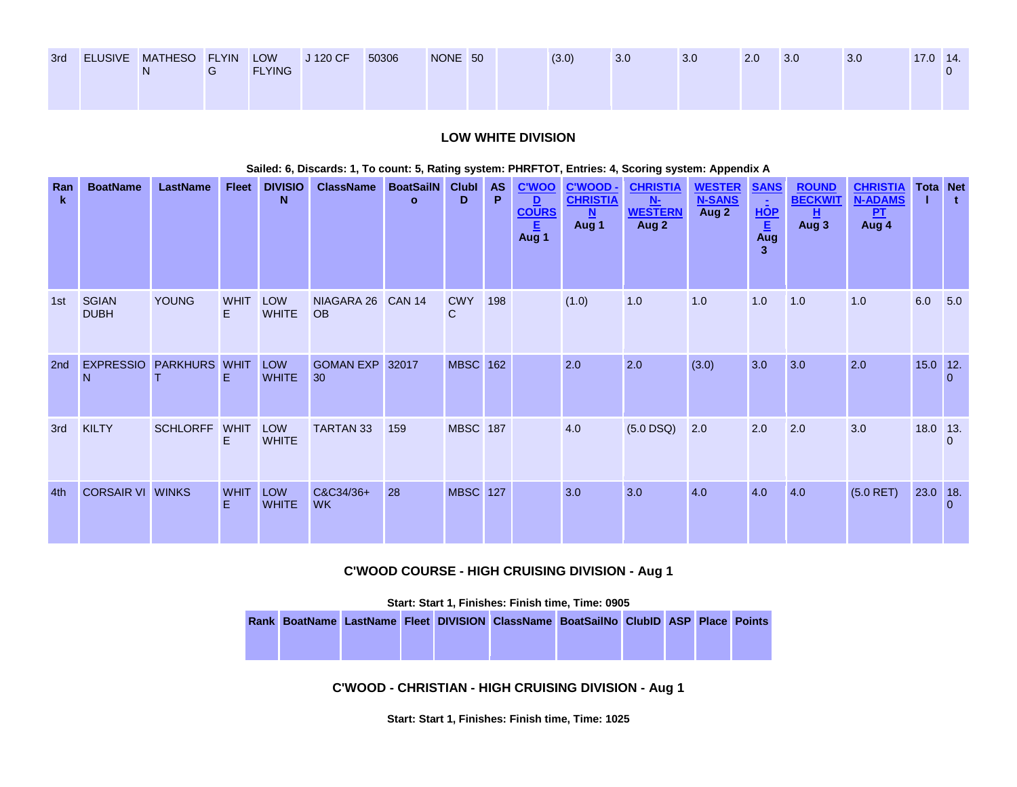| 3rd | ELUSIVE MATHESO FLYIN LOW | <b>FLYING</b> | J 120 CF | 50306 | NONE 50 |  | (3.0) | 3.0 | 3.0 | 2.0 | 3.0 | 3.0 | $17.0$ 14. |  |
|-----|---------------------------|---------------|----------|-------|---------|--|-------|-----|-----|-----|-----|-----|------------|--|
|     |                           |               |          |       |         |  |       |     |     |     |     |     |            |  |

### **LOW WHITE DIVISION**

#### **Sailed: 6, Discards: 1, To count: 5, Rating system: PHRFTOT, Entries: 4, Scoring system: Appendix A**

| Ran<br>$\mathbf{k}$ | <b>BoatName</b>             | <b>LastName</b> | <b>Fleet</b>      | <b>DIVISIO</b><br>N        | <b>ClassName</b>        | <b>BoatSailN</b><br>$\mathbf{o}$ | <b>Clubl</b><br>D | <b>AS</b><br>P | <b>C'WOO</b><br>D<br><b>COURS</b><br>E.<br>Aug 1 | <b>C'WOOD-</b><br><b>CHRISTIA</b><br>N.<br>Aug 1 | <b>CHRISTIA</b><br>$N-$<br><b>WESTERN</b><br>Aug 2 | <b>WESTER</b><br><b>N-SANS</b><br>Aug 2 | <b>SANS</b><br>$\sim$<br>HOP<br>E<br>Aug<br>3 | <b>ROUND</b><br><b>BECKWIT</b><br>且<br>Aug 3 | <b>CHRISTIA</b><br><b>N-ADAMS</b><br>P <sub>T</sub><br>Aug 4 |            | <b>Tota Net</b><br>t. |
|---------------------|-----------------------------|-----------------|-------------------|----------------------------|-------------------------|----------------------------------|-------------------|----------------|--------------------------------------------------|--------------------------------------------------|----------------------------------------------------|-----------------------------------------|-----------------------------------------------|----------------------------------------------|--------------------------------------------------------------|------------|-----------------------|
| 1st                 | <b>SGIAN</b><br><b>DUBH</b> | <b>YOUNG</b>    | <b>WHIT</b><br>E. | LOW<br><b>WHITE</b>        | NIAGARA 26<br><b>OB</b> | <b>CAN 14</b>                    | <b>CWY</b><br>C   | 198            |                                                  | (1.0)                                            | 1.0                                                | 1.0                                     | 1.0                                           | 1.0                                          | 1.0                                                          | 6.0        | 5.0                   |
| 2nd                 | <b>EXPRESSIO</b><br>N       | <b>PARKHURS</b> | <b>WHIT</b><br>Ε  | <b>LOW</b><br><b>WHITE</b> | <b>GOMAN EXP</b><br>30  | 32017                            | <b>MBSC</b> 162   |                |                                                  | 2.0                                              | 2.0                                                | (3.0)                                   | 3.0                                           | 3.0                                          | 2.0                                                          | $15.0$ 12. | $\Omega$              |
| 3rd                 | <b>KILTY</b>                | <b>SCHLORFF</b> | <b>WHIT</b><br>E. | <b>LOW</b><br><b>WHITE</b> | <b>TARTAN 33</b>        | 159                              | <b>MBSC 187</b>   |                |                                                  | 4.0                                              | $(5.0$ DSQ)                                        | 2.0                                     | 2.0                                           | 2.0                                          | 3.0                                                          | 18.0 13.   | $\Omega$              |
| 4th                 | <b>CORSAIR VI WINKS</b>     |                 | <b>WHIT</b><br>E  | LOW<br><b>WHITE</b>        | C&C34/36+<br><b>WK</b>  | 28                               | <b>MBSC</b> 127   |                |                                                  | 3.0                                              | 3.0                                                | 4.0                                     | 4.0                                           | 4.0                                          | $(5.0$ RET)                                                  | 23.0 18.   | $\Omega$              |

### **C'WOOD COURSE - HIGH CRUISING DIVISION - Aug 1**

**Start: Start 1, Finishes: Finish time, Time: 0905** 

**Rank BoatName LastName Fleet DIVISION ClassName BoatSailNo ClubID ASP Place Points**

**C'WOOD - CHRISTIAN - HIGH CRUISING DIVISION - Aug 1**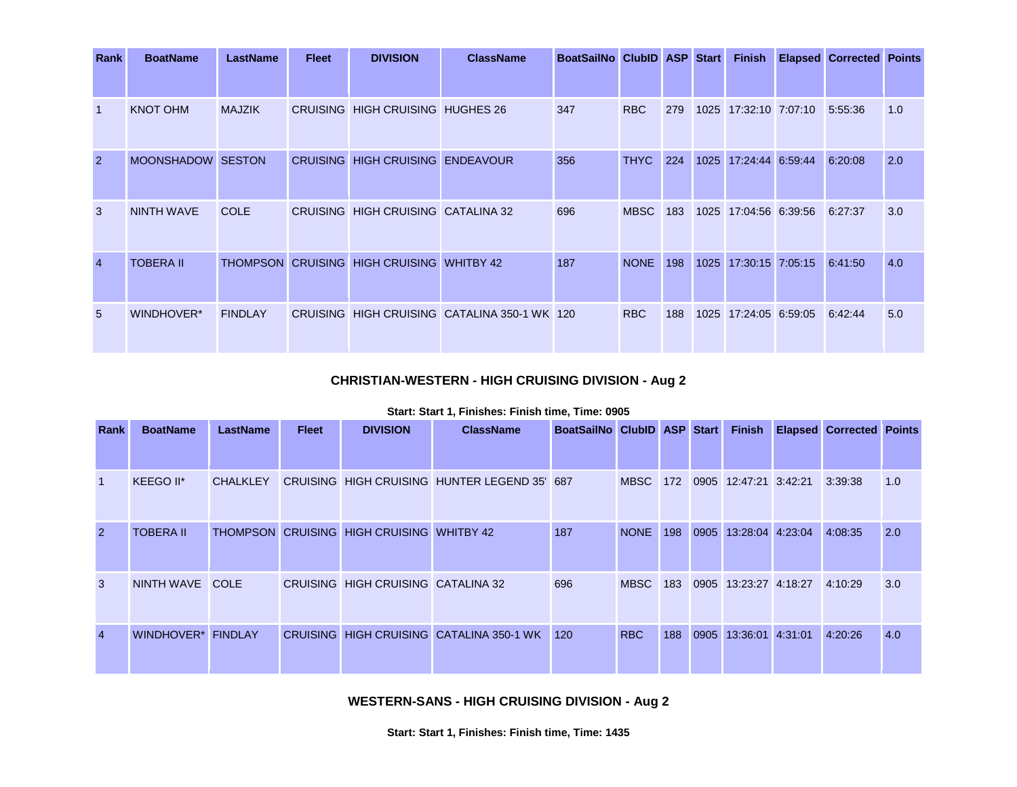| Rank           | <b>BoatName</b>   | <b>LastName</b> | <b>Fleet</b> | <b>DIVISION</b>                           | <b>ClassName</b>                             | BoatSailNo ClubID ASP Start |             |     |      |                       | <b>Finish Elapsed Corrected Points</b> |     |
|----------------|-------------------|-----------------|--------------|-------------------------------------------|----------------------------------------------|-----------------------------|-------------|-----|------|-----------------------|----------------------------------------|-----|
|                |                   |                 |              |                                           |                                              |                             |             |     |      |                       |                                        |     |
| $\overline{1}$ | <b>KNOT OHM</b>   | <b>MAJZIK</b>   |              | CRUISING HIGH CRUISING HUGHES 26          |                                              | 347                         | <b>RBC</b>  | 279 |      | 1025 17:32:10 7:07:10 | 5:55:36                                | 1.0 |
| $\overline{2}$ | MOONSHADOW SESTON |                 |              | CRUISING HIGH CRUISING ENDEAVOUR          |                                              | 356                         | <b>THYC</b> | 224 | 1025 | 17:24:44 6:59:44      | 6:20:08                                | 2.0 |
| $\mathbf{3}$   | <b>NINTH WAVE</b> | <b>COLE</b>     |              | CRUISING HIGH CRUISING CATALINA 32        |                                              | 696                         | <b>MBSC</b> | 183 |      | 1025 17:04:56 6:39:56 | 6:27:37                                | 3.0 |
| $\overline{4}$ | <b>TOBERA II</b>  |                 |              | THOMPSON CRUISING HIGH CRUISING WHITBY 42 |                                              | 187                         | <b>NONE</b> | 198 | 1025 | 17:30:15 7:05:15      | 6:41:50                                | 4.0 |
| 5              | WINDHOVER*        | <b>FINDLAY</b>  |              |                                           | CRUISING HIGH CRUISING CATALINA 350-1 WK 120 |                             | <b>RBC</b>  | 188 |      | 1025 17:24:05 6:59:05 | 6:42:44                                | 5.0 |

# **CHRISTIAN-WESTERN - HIGH CRUISING DIVISION - Aug 2**

#### **Start: Start 1, Finishes: Finish time, Time: 0905**

| Rank           | <b>BoatName</b>   | <b>LastName</b> | <b>Fleet</b> | <b>DIVISION</b>                           | <b>ClassName</b>                             | BoatSailNo ClubID ASP Start |             |     |      | <b>Finish</b>         | <b>Elapsed Corrected Points</b> |     |
|----------------|-------------------|-----------------|--------------|-------------------------------------------|----------------------------------------------|-----------------------------|-------------|-----|------|-----------------------|---------------------------------|-----|
| $\mathbf{1}$   | KEEGO II*         | <b>CHALKLEY</b> |              |                                           | CRUISING HIGH CRUISING HUNTER LEGEND 35' 687 |                             | <b>MBSC</b> | 172 |      | 0905 12:47:21 3:42:21 | 3:39:38                         | 1.0 |
| $\overline{2}$ | <b>TOBERA II</b>  |                 |              | THOMPSON CRUISING HIGH CRUISING WHITBY 42 |                                              | 187                         | <b>NONE</b> | 198 | 0905 | 13:28:04 4:23:04      | 4:08:35                         | 2.0 |
| 3              | NINTH WAVE COLE   |                 |              | CRUISING HIGH CRUISING CATALINA 32        |                                              | 696                         | <b>MBSC</b> | 183 |      | 0905 13:23:27 4:18:27 | 4:10:29                         | 3.0 |
| $\overline{4}$ | <b>WINDHOVER*</b> | <b>FINDLAY</b>  |              |                                           | CRUISING HIGH CRUISING CATALINA 350-1 WK     | 120                         | <b>RBC</b>  | 188 | 0905 | 13:36:01 4:31:01      | 4:20:26                         | 4.0 |

**WESTERN-SANS - HIGH CRUISING DIVISION - Aug 2**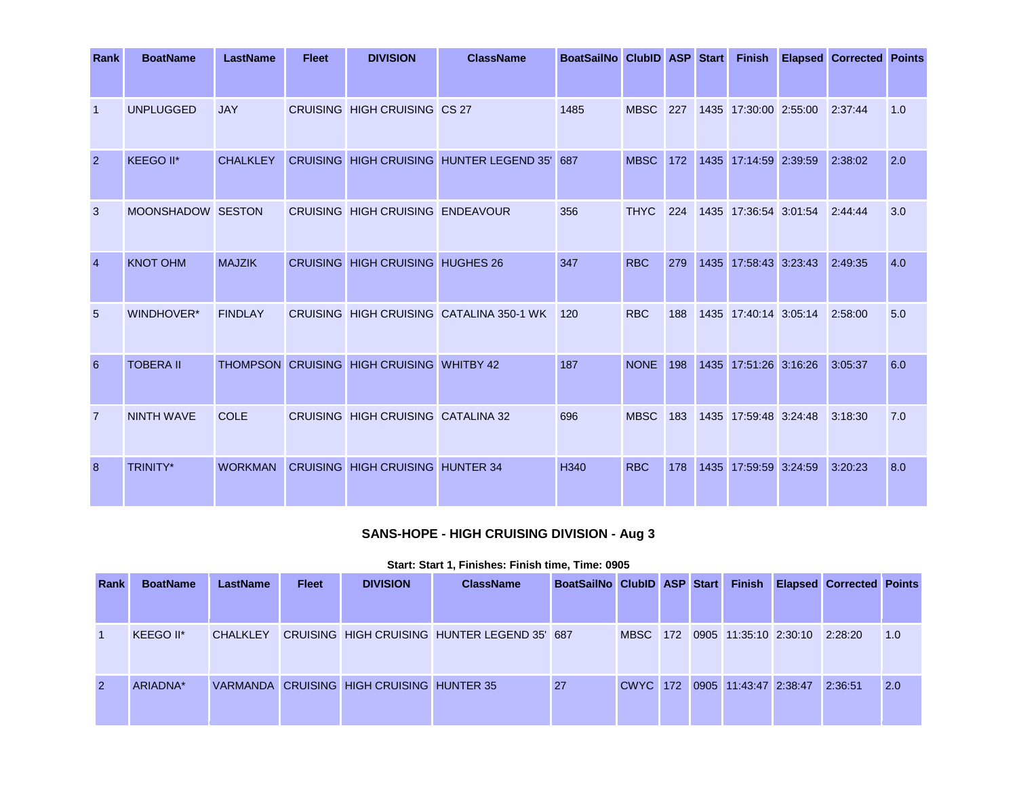| Rank           | <b>BoatName</b>   | <b>LastName</b> | <b>Fleet</b> | <b>DIVISION</b>                           | <b>ClassName</b>                             | BoatSailNo ClubID ASP Start |                 |     |                       |                       | <b>Finish Elapsed Corrected Points</b> |     |
|----------------|-------------------|-----------------|--------------|-------------------------------------------|----------------------------------------------|-----------------------------|-----------------|-----|-----------------------|-----------------------|----------------------------------------|-----|
|                |                   |                 |              |                                           |                                              |                             |                 |     |                       |                       |                                        |     |
| $\vert$ 1      | <b>UNPLUGGED</b>  | <b>JAY</b>      |              | CRUISING HIGH CRUISING CS 27              |                                              | 1485                        | <b>MBSC</b> 227 |     | 1435 17:30:00 2:55:00 |                       | 2:37:44                                | 1.0 |
| 2              | KEEGO II*         | <b>CHALKLEY</b> |              |                                           | CRUISING HIGH CRUISING HUNTER LEGEND 35' 687 |                             | <b>MBSC</b> 172 |     | 1435 17:14:59 2:39:59 |                       | 2:38:02                                | 2.0 |
| $\mathbf{3}$   | MOONSHADOW SESTON |                 |              | CRUISING HIGH CRUISING ENDEAVOUR          |                                              | 356                         | <b>THYC</b>     | 224 | 1435 17:36:54 3:01:54 |                       | 2:44:44                                | 3.0 |
| $\overline{4}$ | <b>KNOT OHM</b>   | <b>MAJZIK</b>   |              | <b>CRUISING HIGH CRUISING HUGHES 26</b>   |                                              | 347                         | <b>RBC</b>      | 279 |                       | 1435 17:58:43 3:23:43 | 2:49:35                                | 4.0 |
| 5              | WINDHOVER*        | <b>FINDLAY</b>  |              |                                           | CRUISING HIGH CRUISING CATALINA 350-1 WK     | 120                         | <b>RBC</b>      | 188 |                       | 1435 17:40:14 3:05:14 | 2:58:00                                | 5.0 |
| 6              | <b>TOBERA II</b>  |                 |              | THOMPSON CRUISING HIGH CRUISING WHITBY 42 |                                              | 187                         | <b>NONE</b> 198 |     | 1435 17:51:26 3:16:26 |                       | 3:05:37                                | 6.0 |
| $\overline{7}$ | <b>NINTH WAVE</b> | <b>COLE</b>     |              | CRUISING HIGH CRUISING CATALINA 32        |                                              | 696                         | <b>MBSC</b>     | 183 | 1435 17:59:48 3:24:48 |                       | 3:18:30                                | 7.0 |
| 8              | TRINITY*          | <b>WORKMAN</b>  |              | <b>CRUISING HIGH CRUISING HUNTER 34</b>   |                                              | H340                        | <b>RBC</b>      | 178 |                       | 1435 17:59:59 3:24:59 | 3:20:23                                | 8.0 |

# **SANS-HOPE - HIGH CRUISING DIVISION - Aug 3**

| Rank           | <b>BoatName</b> | <b>LastName</b> | <b>Fleet</b> | <b>DIVISION</b>                           | <b>ClassName</b>                             | BoatSailNo ClubID ASP Start |  |                                | <b>Finish Elapsed Corrected Points</b> |     |
|----------------|-----------------|-----------------|--------------|-------------------------------------------|----------------------------------------------|-----------------------------|--|--------------------------------|----------------------------------------|-----|
|                |                 |                 |              |                                           |                                              |                             |  |                                |                                        |     |
|                | KEEGO II*       | <b>CHALKLEY</b> |              |                                           | CRUISING HIGH CRUISING HUNTER LEGEND 35' 687 |                             |  | MBSC 172 0905 11:35:10 2:30:10 | 2:28:20                                | 1.0 |
| $\overline{2}$ | ARIADNA*        |                 |              | VARMANDA CRUISING HIGH CRUISING HUNTER 35 |                                              | 27                          |  | CWYC 172 0905 11:43:47 2:38:47 | 2:36:51                                | 2.0 |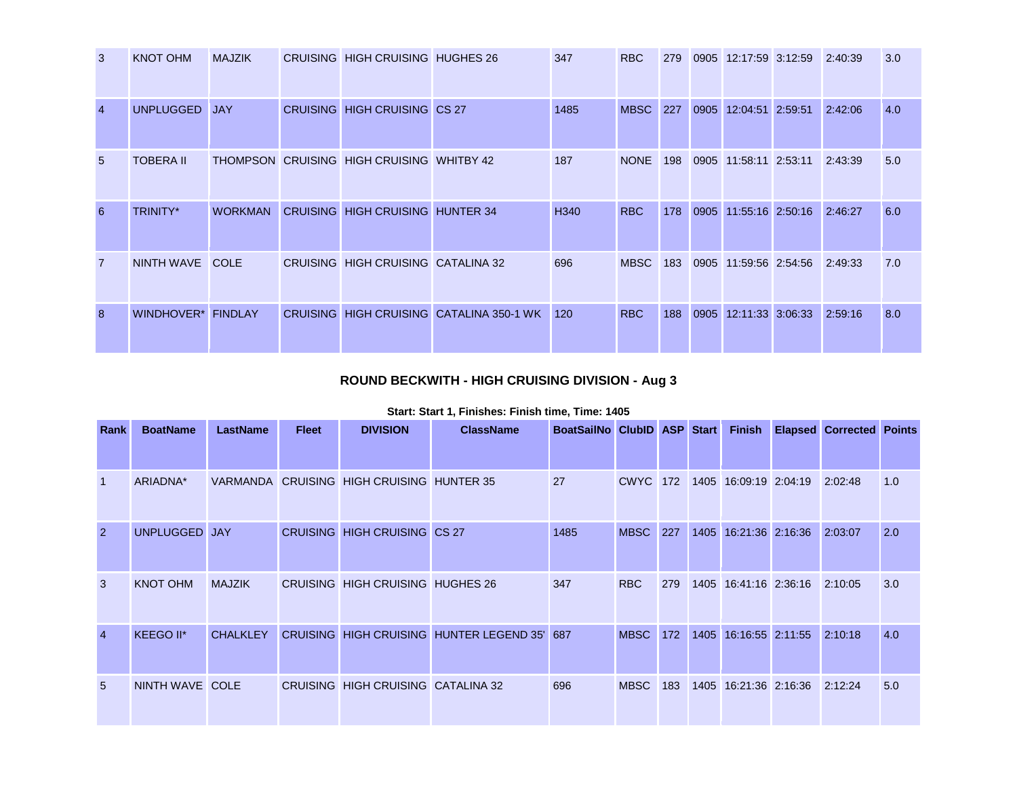| 3              | <b>KNOT OHM</b>    | <b>MAJZIK</b>  | CRUISING HIGH CRUISING HUGHES 26          |                                          | 347              | <b>RBC</b>      | 279 | 0905 12:17:59 3:12:59 | 2:40:39 | 3.0 |
|----------------|--------------------|----------------|-------------------------------------------|------------------------------------------|------------------|-----------------|-----|-----------------------|---------|-----|
| $\overline{4}$ | <b>UNPLUGGED</b>   | <b>JAY</b>     | <b>CRUISING HIGH CRUISING CS 27</b>       |                                          | 1485             | <b>MBSC</b> 227 |     | 0905 12:04:51 2:59:51 | 2:42:06 | 4.0 |
| $5^{\circ}$    | <b>TOBERA II</b>   |                | THOMPSON CRUISING HIGH CRUISING WHITBY 42 |                                          | 187              | <b>NONE</b>     | 198 | 0905 11:58:11 2:53:11 | 2:43:39 | 5.0 |
| 6              | <b>TRINITY*</b>    | <b>WORKMAN</b> | <b>CRUISING HIGH CRUISING HUNTER 34</b>   |                                          | H <sub>340</sub> | <b>RBC</b>      | 178 | 0905 11:55:16 2:50:16 | 2:46:27 | 6.0 |
| $\overline{7}$ | NINTH WAVE COLE    |                | CRUISING HIGH CRUISING CATALINA 32        |                                          | 696              | <b>MBSC</b>     | 183 | 0905 11:59:56 2:54:56 | 2:49:33 | 7.0 |
| 8              | WINDHOVER* FINDLAY |                |                                           | CRUISING HIGH CRUISING CATALINA 350-1 WK | 120              | <b>RBC</b>      | 188 | 0905 12:11:33 3:06:33 | 2:59:16 | 8.0 |

# **ROUND BECKWITH - HIGH CRUISING DIVISION - Aug 3**

| Rank           | <b>BoatName</b>  | <b>LastName</b> | <b>Fleet</b> | <b>DIVISION</b>                           | <b>ClassName</b>                             | BoatSailNo ClubID ASP Start |             |     |      | <b>Finish</b>         | <b>Elapsed Corrected Points</b> |     |
|----------------|------------------|-----------------|--------------|-------------------------------------------|----------------------------------------------|-----------------------------|-------------|-----|------|-----------------------|---------------------------------|-----|
| $\overline{1}$ | ARIADNA*         |                 |              | VARMANDA CRUISING HIGH CRUISING HUNTER 35 |                                              | 27                          | <b>CWYC</b> | 172 |      | 1405 16:09:19 2:04:19 | 2:02:48                         | 1.0 |
| $\overline{2}$ | <b>UNPLUGGED</b> | <b>JAY</b>      |              | <b>CRUISING HIGH CRUISING CS 27</b>       |                                              | 1485                        | <b>MBSC</b> | 227 |      | 1405 16:21:36 2:16:36 | 2:03:07                         | 2.0 |
| 3              | <b>KNOT OHM</b>  | <b>MAJZIK</b>   |              | CRUISING HIGH CRUISING HUGHES 26          |                                              | 347                         | <b>RBC</b>  | 279 |      | 1405 16:41:16 2:36:16 | 2:10:05                         | 3.0 |
| $\overline{4}$ | KEEGO II*        | <b>CHALKLEY</b> |              |                                           | CRUISING HIGH CRUISING HUNTER LEGEND 35' 687 |                             | <b>MBSC</b> | 172 | 1405 | 16:16:55 2:11:55      | 2:10:18                         | 4.0 |
| 5              | NINTH WAVE COLE  |                 |              | CRUISING HIGH CRUISING CATALINA 32        |                                              | 696                         | <b>MBSC</b> | 183 |      | 1405 16:21:36 2:16:36 | 2:12:24                         | 5.0 |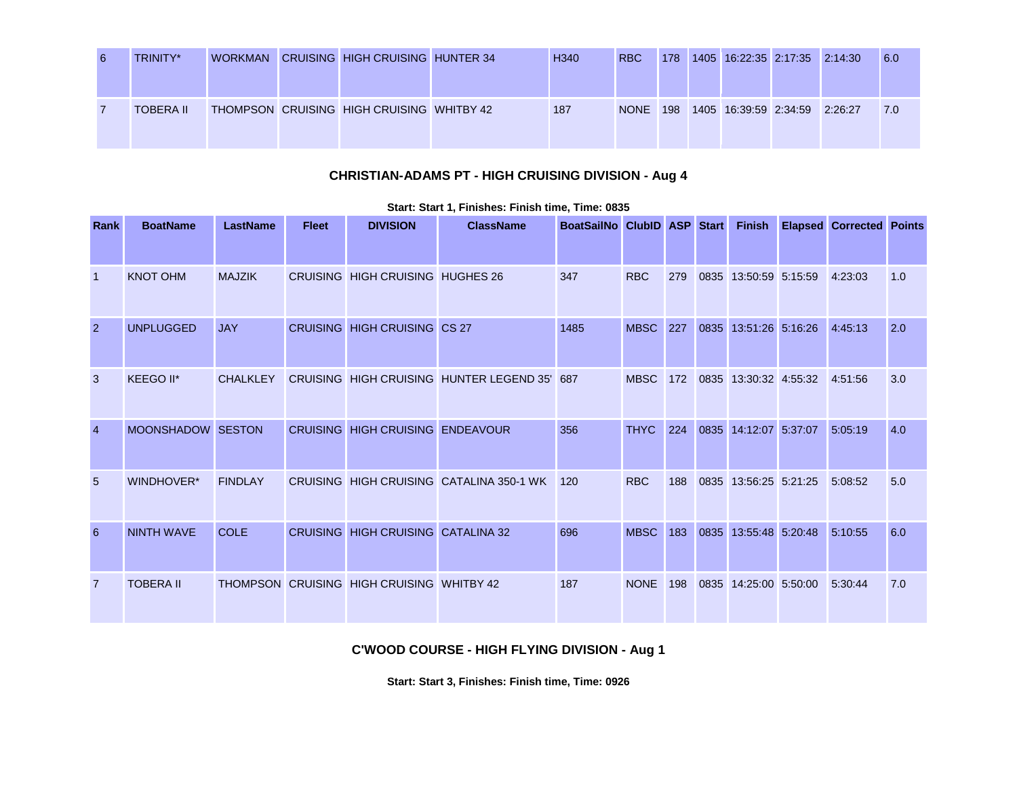| 6 | TRINITY*         | <b>WORKMAN</b> | <b>CRUISING HIGH CRUISING HUNTER 34</b>   | H <sub>340</sub> | <b>RBC</b>  | 178 | 1405 16:22:35 2:17:35 2:14:30 |  | <b>6.0</b> |
|---|------------------|----------------|-------------------------------------------|------------------|-------------|-----|-------------------------------|--|------------|
|   | <b>TOBERA II</b> |                | THOMPSON CRUISING HIGH CRUISING WHITBY 42 | 187              | <b>NONE</b> | 198 | 1405 16:39:59 2:34:59 2:26:27 |  | 7.0        |

# **CHRISTIAN-ADAMS PT - HIGH CRUISING DIVISION - Aug 4**

| Rank           | <b>BoatName</b>   | <b>LastName</b> | <b>Fleet</b> | <b>DIVISION</b>                           | <b>ClassName</b>                             | BoatSailNo ClubID ASP Start |                 |     | <b>Finish</b>         | <b>Elapsed Corrected Points</b> |     |
|----------------|-------------------|-----------------|--------------|-------------------------------------------|----------------------------------------------|-----------------------------|-----------------|-----|-----------------------|---------------------------------|-----|
|                |                   |                 |              |                                           |                                              |                             |                 |     |                       |                                 |     |
| -1             | <b>KNOT OHM</b>   | <b>MAJZIK</b>   |              | CRUISING HIGH CRUISING HUGHES 26          |                                              | 347                         | <b>RBC</b>      | 279 | 0835 13:50:59 5:15:59 | 4:23:03                         | 1.0 |
| $\overline{2}$ | <b>UNPLUGGED</b>  | <b>JAY</b>      |              | <b>CRUISING HIGH CRUISING CS 27</b>       |                                              | 1485                        | <b>MBSC</b> 227 |     | 0835 13:51:26 5:16:26 | 4:45:13                         | 2.0 |
| 3              | KEEGO II*         | <b>CHALKLEY</b> |              |                                           | CRUISING HIGH CRUISING HUNTER LEGEND 35' 687 |                             | <b>MBSC</b>     | 172 | 0835 13:30:32 4:55:32 | 4:51:56                         | 3.0 |
| $\overline{4}$ | MOONSHADOW SESTON |                 |              | CRUISING HIGH CRUISING ENDEAVOUR          |                                              | 356                         | <b>THYC</b>     | 224 | 0835 14:12:07 5:37:07 | 5:05:19                         | 4.0 |
| 5              | <b>WINDHOVER*</b> | <b>FINDLAY</b>  |              |                                           | CRUISING HIGH CRUISING CATALINA 350-1 WK     | 120                         | <b>RBC</b>      | 188 | 0835 13:56:25 5:21:25 | 5:08:52                         | 5.0 |
| 6              | <b>NINTH WAVE</b> | COLE            |              | CRUISING HIGH CRUISING CATALINA 32        |                                              | 696                         | <b>MBSC</b>     | 183 | 0835 13:55:48 5:20:48 | 5:10:55                         | 6.0 |
| 7              | <b>TOBERA II</b>  |                 |              | THOMPSON CRUISING HIGH CRUISING WHITBY 42 |                                              | 187                         | <b>NONE</b>     | 198 | 0835 14:25:00 5:50:00 | 5:30:44                         | 7.0 |

#### **Start: Start 1, Finishes: Finish time, Time: 0835**

### **C'WOOD COURSE - HIGH FLYING DIVISION - Aug 1**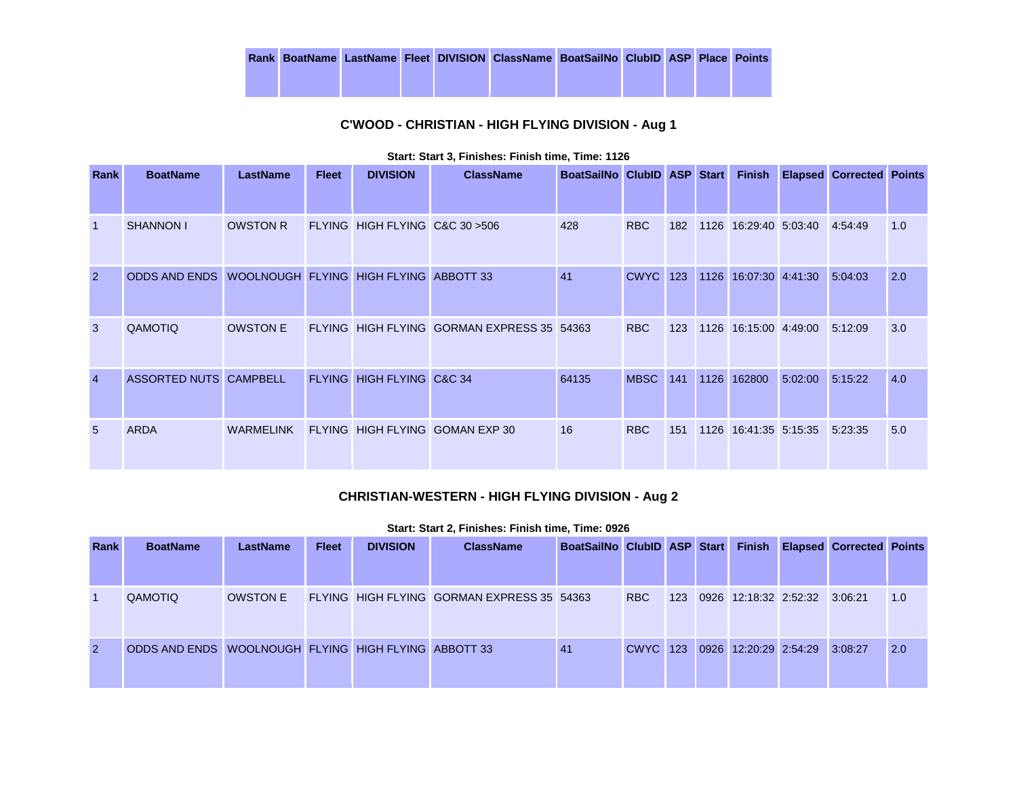|  |  | Rank BoatName LastName Fleet DIVISION ClassName BoatSailNo ClubID ASP Place Points |  |  |  |
|--|--|------------------------------------------------------------------------------------|--|--|--|
|  |  |                                                                                    |  |  |  |

# **C'WOOD - CHRISTIAN - HIGH FLYING DIVISION - Aug 1**

| Rank           | <b>BoatName</b>                                      | <b>LastName</b> | <b>Fleet</b> | <b>DIVISION</b>                 | <b>ClassName</b>                           | BoatSailNo ClubID ASP Start |             |     |                       |         | <b>Finish Elapsed Corrected Points</b> |     |
|----------------|------------------------------------------------------|-----------------|--------------|---------------------------------|--------------------------------------------|-----------------------------|-------------|-----|-----------------------|---------|----------------------------------------|-----|
| $\mathbf 1$    | <b>SHANNON I</b>                                     | <b>OWSTON R</b> |              | FLYING HIGH FLYING C&C 30 > 506 |                                            | 428                         | <b>RBC</b>  | 182 | 1126 16:29:40 5:03:40 |         | 4:54:49                                | 1.0 |
| $\overline{2}$ | ODDS AND ENDS WOOLNOUGH FLYING HIGH FLYING ABBOTT 33 |                 |              |                                 |                                            | 41                          | <b>CWYC</b> | 123 | 1126 16:07:30 4:41:30 |         | 5:04:03                                | 2.0 |
| 3              | QAMOTIQ                                              | <b>OWSTON E</b> |              |                                 | FLYING HIGH FLYING GORMAN EXPRESS 35 54363 |                             | <b>RBC</b>  | 123 | 1126 16:15:00 4:49:00 |         | 5:12:09                                | 3.0 |
| $\overline{4}$ | ASSORTED NUTS CAMPBELL                               |                 |              | FLYING HIGH FLYING C&C 34       |                                            | 64135                       | <b>MBSC</b> | 141 | 1126 162800           | 5:02:00 | 5:15:22                                | 4.0 |
| 5              | <b>ARDA</b>                                          | WARMELINK       |              |                                 | FLYING HIGH FLYING GOMAN EXP 30            | 16                          | <b>RBC</b>  | 151 | 1126 16:41:35 5:15:35 |         | 5:23:35                                | 5.0 |

#### **Start: Start 3, Finishes: Finish time, Time: 1126**

### **CHRISTIAN-WESTERN - HIGH FLYING DIVISION - Aug 2**

| <b>Rank</b>    | <b>BoatName</b>                                      | <b>LastName</b> | <b>Fleet</b> | <b>DIVISION</b> | <b>ClassName</b>                           | BoatSailNo ClubID ASP Start |                 |     | <b>Finish</b>         |                               | <b>Elapsed Corrected Points</b> |     |
|----------------|------------------------------------------------------|-----------------|--------------|-----------------|--------------------------------------------|-----------------------------|-----------------|-----|-----------------------|-------------------------------|---------------------------------|-----|
|                |                                                      |                 |              |                 |                                            |                             |                 |     |                       |                               |                                 |     |
|                | QAMOTIQ                                              | <b>OWSTON E</b> |              |                 | FLYING HIGH FLYING GORMAN EXPRESS 35 54363 |                             | <b>RBC</b>      | 123 |                       | 0926 12:18:32 2:52:32 3:06:21 |                                 | 1.0 |
| $\overline{2}$ | ODDS AND ENDS WOOLNOUGH FLYING HIGH FLYING ABBOTT 33 |                 |              |                 |                                            | 41                          | <b>CWYC</b> 123 |     | 0926 12:20:29 2:54:29 |                               | 3:08:27                         | 2.0 |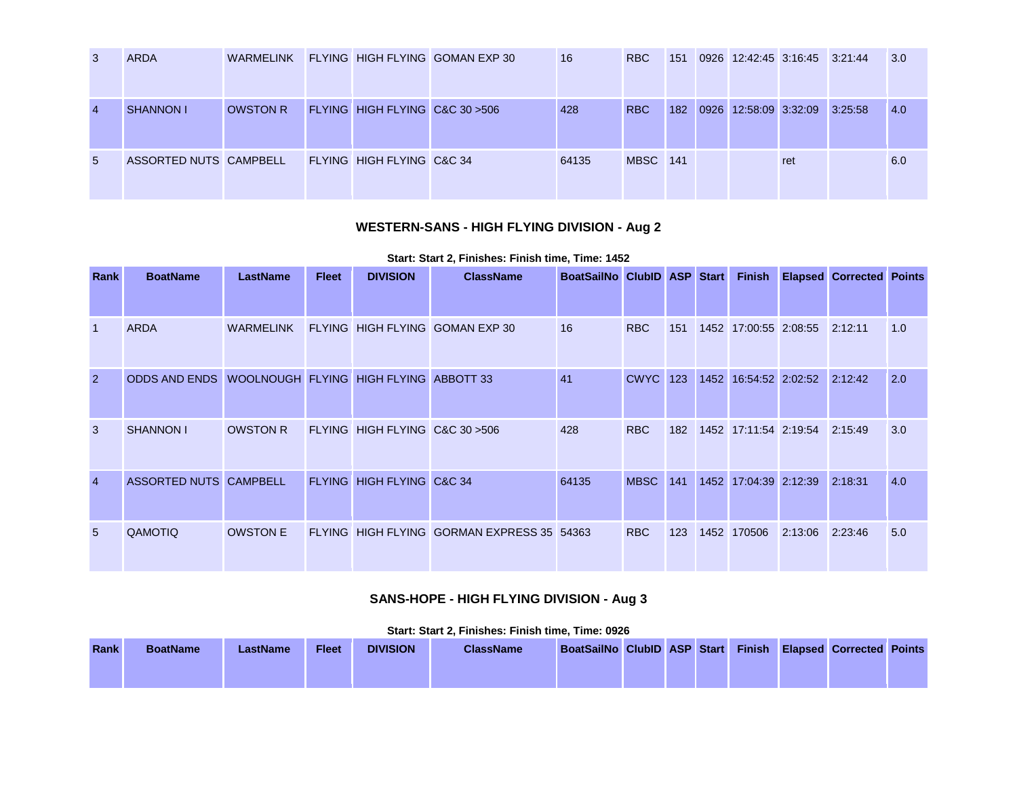| $\mathbf{3}$   | <b>ARDA</b>            | WARMELINK       |                                 | FLYING HIGH FLYING GOMAN EXP 30 | 16    | <b>RBC</b>      | 151 |      | 0926 12:42:45 3:16:45 3:21:44 |     |         | 3.0 |
|----------------|------------------------|-----------------|---------------------------------|---------------------------------|-------|-----------------|-----|------|-------------------------------|-----|---------|-----|
| $\overline{4}$ | <b>SHANNON I</b>       | <b>OWSTON R</b> | FLYING HIGH FLYING C&C 30 > 506 |                                 | 428   | <b>RBC</b>      | 182 | 0926 | 12:58:09 3:32:09              |     | 3:25:58 | 4.0 |
| 5              | ASSORTED NUTS CAMPBELL |                 | FLYING HIGH FLYING C&C 34       |                                 | 64135 | <b>MBSC</b> 141 |     |      |                               | ret |         | 6.0 |

# **WESTERN-SANS - HIGH FLYING DIVISION - Aug 2**

### **Start: Start 2, Finishes: Finish time, Time: 1452**

| Rank           | <b>BoatName</b>                                      | <b>LastName</b> | <b>Fleet</b> | <b>DIVISION</b>                 | <b>ClassName</b>                           | BoatSailNo ClubID ASP Start |                 |     |      | <b>Finish</b>         |         | <b>Elapsed Corrected Points</b> |     |
|----------------|------------------------------------------------------|-----------------|--------------|---------------------------------|--------------------------------------------|-----------------------------|-----------------|-----|------|-----------------------|---------|---------------------------------|-----|
|                |                                                      |                 |              |                                 |                                            |                             |                 |     |      |                       |         |                                 |     |
| $\mathbf 1$    | <b>ARDA</b>                                          | WARMELINK       |              |                                 | FLYING HIGH FLYING GOMAN EXP 30            | 16                          | <b>RBC</b>      | 151 |      | 1452 17:00:55 2:08:55 |         | 2:12:11                         | 1.0 |
| $\overline{2}$ | ODDS AND ENDS WOOLNOUGH FLYING HIGH FLYING ABBOTT 33 |                 |              |                                 |                                            | 41                          | <b>CWYC</b> 123 |     |      | 1452 16:54:52 2:02:52 |         | 2:12:42                         | 2.0 |
| 3              | <b>SHANNON I</b>                                     | <b>OWSTON R</b> |              | FLYING HIGH FLYING C&C 30 > 506 |                                            | 428                         | <b>RBC</b>      | 182 |      | 1452 17:11:54 2:19:54 |         | 2:15:49                         | 3.0 |
| $\overline{4}$ | ASSORTED NUTS CAMPBELL                               |                 |              | FLYING HIGH FLYING C&C 34       |                                            | 64135                       | <b>MBSC</b>     | 141 | 1452 | 17:04:39 2:12:39      |         | 2:18:31                         | 4.0 |
| 5              | QAMOTIQ                                              | <b>OWSTON E</b> |              |                                 | FLYING HIGH FLYING GORMAN EXPRESS 35 54363 |                             | RBC             | 123 |      | 1452 170506           | 2:13:06 | 2:23:46                         | 5.0 |

# **SANS-HOPE - HIGH FLYING DIVISION - Aug 3**

|             |                 |          |              |                 | <b>Start, Start Z. Fillishes. Fillish time. Thrie. 0920</b> |                                                             |  |  |  |  |
|-------------|-----------------|----------|--------------|-----------------|-------------------------------------------------------------|-------------------------------------------------------------|--|--|--|--|
| <b>Rank</b> | <b>BoatName</b> | LastName | <b>Fleet</b> | <b>DIVISION</b> | <b>ClassName</b>                                            | BoatSailNo ClubID ASP Start Finish Elapsed Corrected Points |  |  |  |  |
|             |                 |          |              |                 |                                                             |                                                             |  |  |  |  |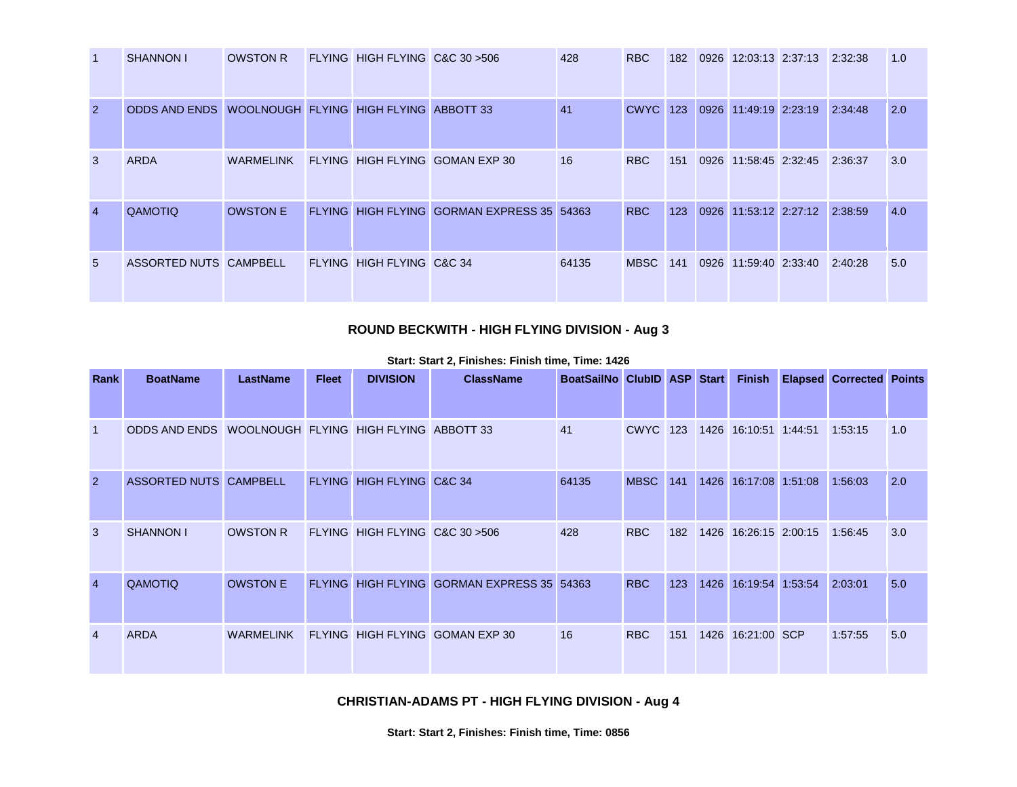|                | <b>SHANNON I</b>                                     | OWSTON R        | FLYING HIGH FLYING C&C 30 > 506 |                                            | 428   | RBC             | 182 | 0926 12:03:13 2:37:13 2:32:38 |         | 1.0 |
|----------------|------------------------------------------------------|-----------------|---------------------------------|--------------------------------------------|-------|-----------------|-----|-------------------------------|---------|-----|
| $\overline{2}$ | ODDS AND ENDS WOOLNOUGH FLYING HIGH FLYING ABBOTT 33 |                 |                                 |                                            | 41    | <b>CWYC</b> 123 |     | 0926 11:49:19 2:23:19         | 2:34:48 | 2.0 |
| 3              | <b>ARDA</b>                                          | WARMELINK       |                                 | FLYING HIGH FLYING GOMAN EXP 30            | 16    | RBC             | 151 | 0926 11:58:45 2:32:45         | 2:36:37 | 3.0 |
| $\overline{4}$ | <b>QAMOTIQ</b>                                       | <b>OWSTON E</b> |                                 | FLYING HIGH FLYING GORMAN EXPRESS 35 54363 |       | <b>RBC</b>      | 123 | 0926 11:53:12 2:27:12 2:38:59 |         | 4.0 |
| 5              | ASSORTED NUTS CAMPBELL                               |                 | FLYING HIGH FLYING C&C 34       |                                            | 64135 | <b>MBSC</b>     | 141 | 0926 11:59:40 2:33:40         | 2:40:28 | 5.0 |

## **ROUND BECKWITH - HIGH FLYING DIVISION - Aug 3**

| Rank           | <b>BoatName</b>                                      | <b>LastName</b> | <b>Fleet</b> | <b>DIVISION</b>                 | <b>ClassName</b>                           | BoatSailNo ClubID ASP Start |                 |     |                                   | <b>Finish Elapsed Corrected Points</b> |     |
|----------------|------------------------------------------------------|-----------------|--------------|---------------------------------|--------------------------------------------|-----------------------------|-----------------|-----|-----------------------------------|----------------------------------------|-----|
|                | ODDS AND ENDS WOOLNOUGH FLYING HIGH FLYING ABBOTT 33 |                 |              |                                 |                                            | 41                          | CWYC 123        |     | 1426 16:10:51 1:44:51             | 1:53:15                                | 1.0 |
| $\overline{2}$ | ASSORTED NUTS CAMPBELL                               |                 |              | FLYING HIGH FLYING C&C 34       |                                            | 64135                       | <b>MBSC</b> 141 |     | 1426 16:17:08 1:51:08 1:56:03     |                                        | 2.0 |
| 3              | <b>SHANNON I</b>                                     | <b>OWSTON R</b> |              | FLYING HIGH FLYING C&C 30 > 506 |                                            | 428                         | RBC             |     | 182 1426 16:26:15 2:00:15 1:56:45 |                                        | 3.0 |
| 4              | <b>QAMOTIQ</b>                                       | <b>OWSTON E</b> |              |                                 | FLYING HIGH FLYING GORMAN EXPRESS 35 54363 |                             | <b>RBC</b>      | 123 | 1426 16:19:54 1:53:54             | 2:03:01                                | 5.0 |
| 4              | <b>ARDA</b>                                          | WARMELINK       |              |                                 | FLYING HIGH FLYING GOMAN EXP 30            | 16                          | RBC             | 151 | 1426 16:21:00 SCP                 | 1:57:55                                | 5.0 |

#### **Start: Start 2, Finishes: Finish time, Time: 1426**

**CHRISTIAN-ADAMS PT - HIGH FLYING DIVISION - Aug 4**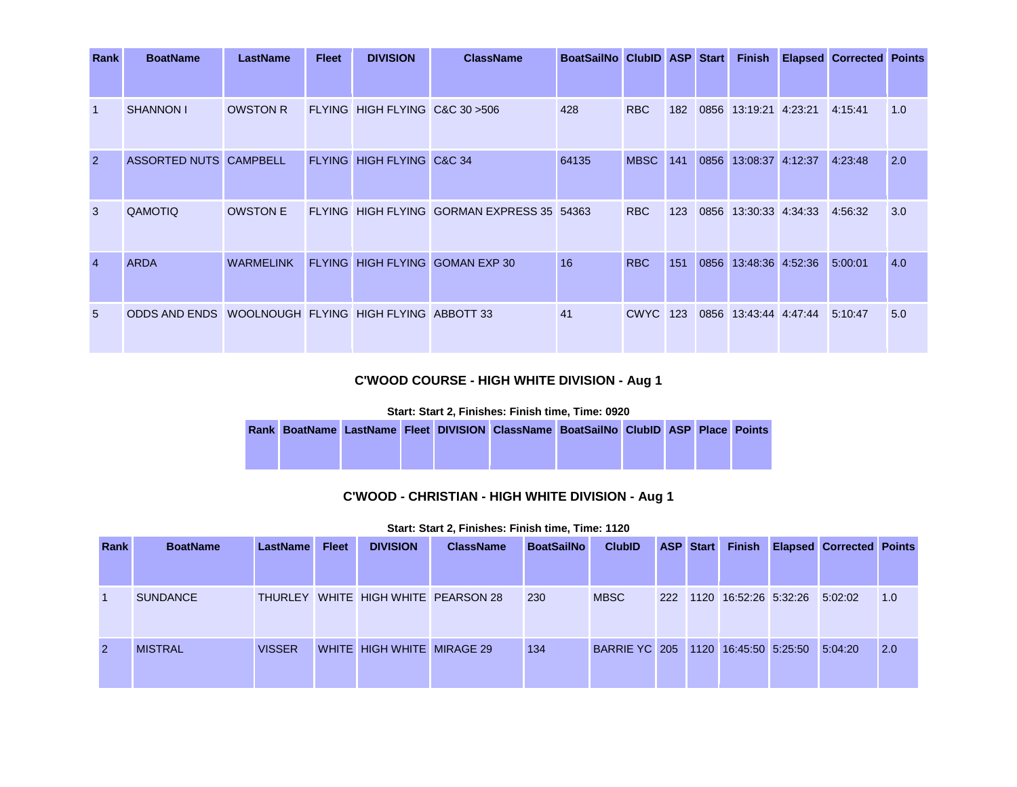| Rank           | <b>BoatName</b>                                      | <b>LastName</b>  | <b>Fleet</b> | <b>DIVISION</b>                 | <b>ClassName</b>                           | BoatSailNo ClubID ASP Start |                 |     |      | <b>Finish</b>         | <b>Elapsed Corrected Points</b> |     |
|----------------|------------------------------------------------------|------------------|--------------|---------------------------------|--------------------------------------------|-----------------------------|-----------------|-----|------|-----------------------|---------------------------------|-----|
|                |                                                      |                  |              |                                 |                                            |                             |                 |     |      |                       |                                 |     |
|                | SHANNON I                                            | <b>OWSTON R</b>  |              | FLYING HIGH FLYING C&C 30 > 506 |                                            | 428                         | <b>RBC</b>      | 182 |      | 0856 13:19:21 4:23:21 | 4:15:41                         | 1.0 |
| $\overline{2}$ | ASSORTED NUTS CAMPBELL                               |                  |              | FLYING HIGH FLYING C&C 34       |                                            | 64135                       | <b>MBSC</b> 141 |     |      | 0856 13:08:37 4:12:37 | 4:23:48                         | 2.0 |
| 3              | QAMOTIQ                                              | <b>OWSTON E</b>  |              |                                 | FLYING HIGH FLYING GORMAN EXPRESS 35 54363 |                             | <b>RBC</b>      | 123 |      | 0856 13:30:33 4:34:33 | 4:56:32                         | 3.0 |
| $\overline{4}$ | <b>ARDA</b>                                          | <b>WARMELINK</b> |              |                                 | FLYING HIGH FLYING GOMAN EXP 30            | 16                          | <b>RBC</b>      | 151 | 0856 | 13:48:36 4:52:36      | 5:00:01                         | 4.0 |
| $5^{\circ}$    | ODDS AND ENDS WOOLNOUGH FLYING HIGH FLYING ABBOTT 33 |                  |              |                                 |                                            | 41                          | <b>CWYC</b> 123 |     |      | 0856 13:43:44 4:47:44 | 5:10:47                         | 5.0 |

# **C'WOOD COURSE - HIGH WHITE DIVISION - Aug 1**

### **Start: Start 2, Finishes: Finish time, Time: 0920**

|  |  | Rank BoatName LastName Fleet DIVISION ClassName BoatSailNo ClubID ASP Place Points |  |  |  |
|--|--|------------------------------------------------------------------------------------|--|--|--|
|  |  |                                                                                    |  |  |  |

## **C'WOOD - CHRISTIAN - HIGH WHITE DIVISION - Aug 1**

| <b>Rank</b>    | <b>BoatName</b> | LastName      | <b>Fleet</b> | <b>DIVISION</b>            | <b>ClassName</b>                    | <b>BoatSailNo</b> | <b>ClubID</b>                       | <b>ASP Start</b> |                           | <b>Finish Elapsed Corrected Points</b> |     |
|----------------|-----------------|---------------|--------------|----------------------------|-------------------------------------|-------------------|-------------------------------------|------------------|---------------------------|----------------------------------------|-----|
|                |                 |               |              |                            |                                     |                   |                                     |                  |                           |                                        |     |
| $\mathbf{1}$   | <b>SUNDANCE</b> |               |              |                            | THURLEY WHITE HIGH WHITE PEARSON 28 | 230               | <b>MBSC</b>                         |                  | 222 1120 16:52:26 5:32:26 | 5:02:02                                | 1.0 |
| $\overline{2}$ | <b>MISTRAL</b>  | <b>VISSER</b> |              | WHITE HIGH WHITE MIRAGE 29 |                                     | 134               | BARRIE YC 205 1120 16:45:50 5:25:50 |                  |                           | 5:04:20                                | 2.0 |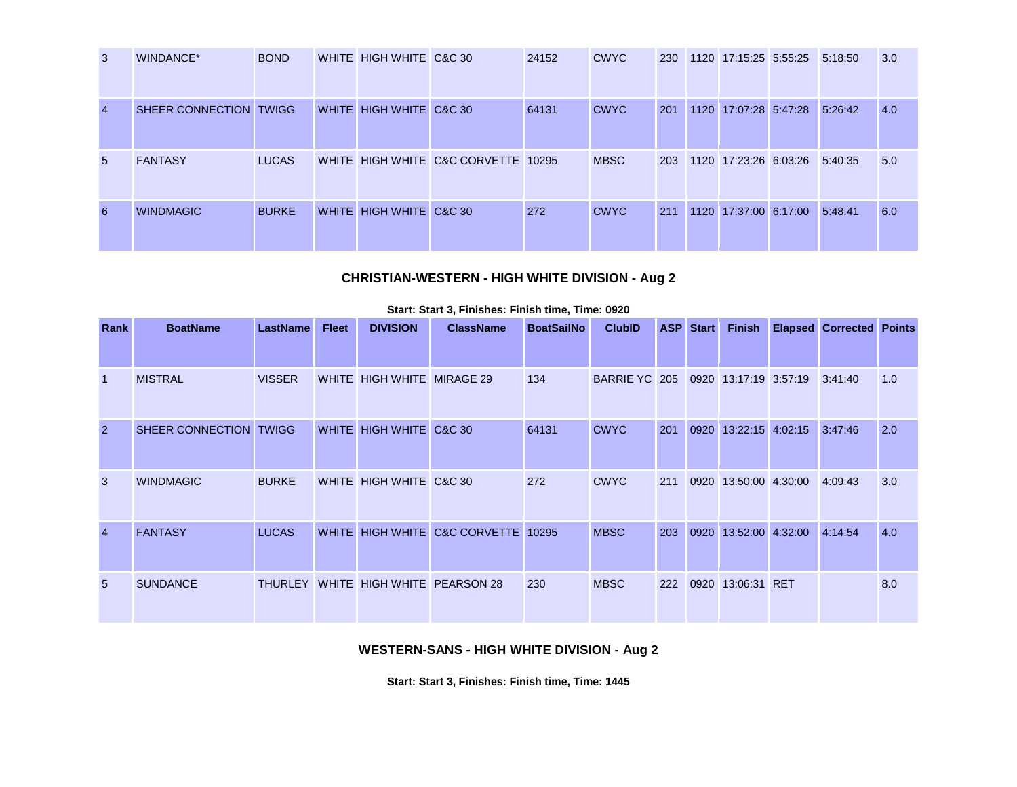| $\mathbf{3}$   | WINDANCE*              | <b>BOND</b>  | WHITE HIGH WHITE C&C 30 |                                     | 24152 | <b>CWYC</b> | 230 | 1120 17:15:25 5:55:25 5:18:50 |         | 3.0 |
|----------------|------------------------|--------------|-------------------------|-------------------------------------|-------|-------------|-----|-------------------------------|---------|-----|
| $\overline{4}$ | SHEER CONNECTION TWIGG |              | WHITE HIGH WHITE C&C 30 |                                     | 64131 | <b>CWYC</b> | 201 | 1120 17:07:28 5:47:28         | 5:26:42 | 4.0 |
| $5^{\circ}$    | <b>FANTASY</b>         | <b>LUCAS</b> |                         | WHITE HIGH WHITE C&C CORVETTE 10295 |       | <b>MBSC</b> | 203 | 1120 17:23:26 6:03:26         | 5:40:35 | 5.0 |
| 6              | <b>WINDMAGIC</b>       | <b>BURKE</b> | WHITE HIGH WHITE C&C 30 |                                     | 272   | <b>CWYC</b> | 211 | 1120 17:37:00 6:17:00         | 5:48:41 | 6.0 |

# **CHRISTIAN-WESTERN - HIGH WHITE DIVISION - Aug 2**

| Rank           | <b>BoatName</b>        | <b>LastName</b> | <b>Fleet</b> | <b>DIVISION</b>            | <b>ClassName</b>                    | <b>BoatSailNo</b> | <b>ClubID</b>        |     | <b>ASP Start</b> | <b>Finish</b>         | <b>Elapsed Corrected Points</b> |     |
|----------------|------------------------|-----------------|--------------|----------------------------|-------------------------------------|-------------------|----------------------|-----|------------------|-----------------------|---------------------------------|-----|
|                |                        |                 |              |                            |                                     |                   |                      |     |                  |                       |                                 |     |
| $\overline{1}$ | <b>MISTRAL</b>         | <b>VISSER</b>   |              | WHITE HIGH WHITE MIRAGE 29 |                                     | 134               | <b>BARRIE YC 205</b> |     |                  | 0920 13:17:19 3:57:19 | 3:41:40                         | 1.0 |
| $\overline{2}$ | SHEER CONNECTION TWIGG |                 |              | WHITE HIGH WHITE C&C 30    |                                     | 64131             | <b>CWYC</b>          | 201 |                  | 0920 13:22:15 4:02:15 | 3:47:46                         | 2.0 |
| 3              | <b>WINDMAGIC</b>       | <b>BURKE</b>    |              | WHITE HIGH WHITE C&C 30    |                                     | 272               | <b>CWYC</b>          | 211 |                  | 0920 13:50:00 4:30:00 | 4:09:43                         | 3.0 |
| $\overline{4}$ | <b>FANTASY</b>         | <b>LUCAS</b>    |              |                            | WHITE HIGH WHITE C&C CORVETTE       | 10295             | <b>MBSC</b>          | 203 | 0920             | 13:52:00 4:32:00      | 4:14:54                         | 4.0 |
| 5              | <b>SUNDANCE</b>        |                 |              |                            | THURLEY WHITE HIGH WHITE PEARSON 28 | 230               | <b>MBSC</b>          | 222 | 0920             | 13:06:31 RET          |                                 | 8.0 |

#### **Start: Start 3, Finishes: Finish time, Time: 0920**

### **WESTERN-SANS - HIGH WHITE DIVISION - Aug 2**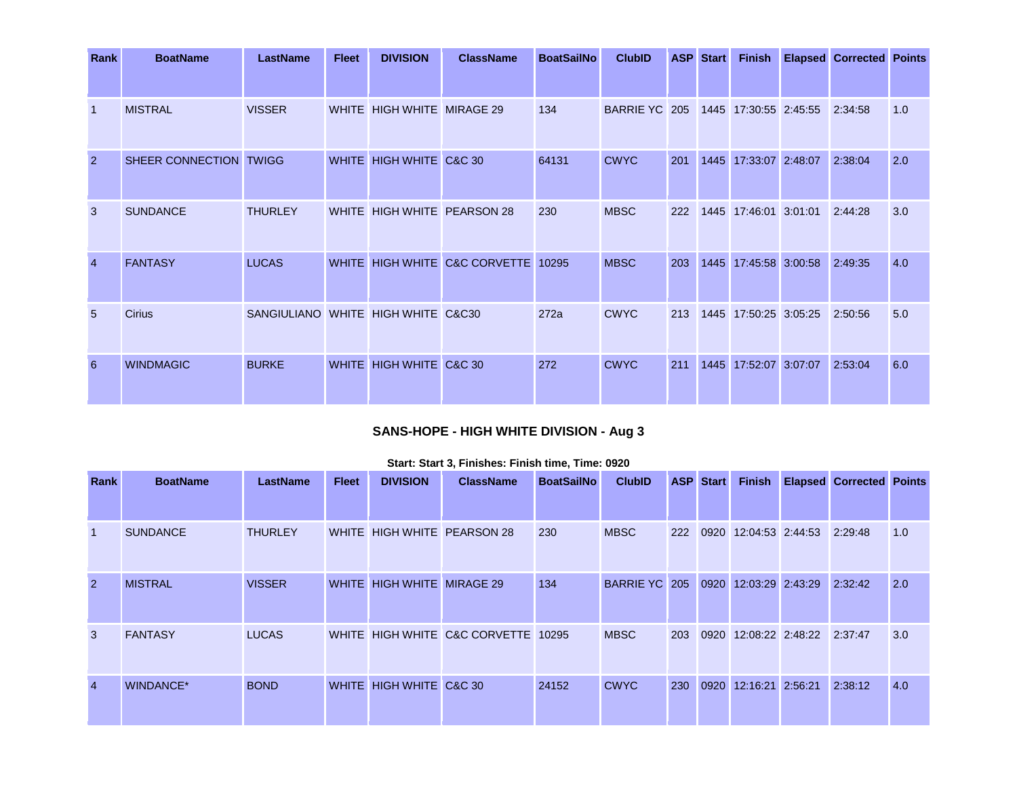| Rank           | <b>BoatName</b>        | <b>LastName</b>                    | <b>Fleet</b> | <b>DIVISION</b>            | <b>ClassName</b>              | <b>BoatSailNo</b> | <b>ClubID</b>        |     | <b>ASP</b> Start | <b>Finish</b>         | <b>Elapsed Corrected Points</b> |     |
|----------------|------------------------|------------------------------------|--------------|----------------------------|-------------------------------|-------------------|----------------------|-----|------------------|-----------------------|---------------------------------|-----|
|                |                        |                                    |              |                            |                               |                   |                      |     |                  |                       |                                 |     |
| $\overline{1}$ | <b>MISTRAL</b>         | <b>VISSER</b>                      |              | WHITE HIGH WHITE MIRAGE 29 |                               | 134               | <b>BARRIE YC 205</b> |     |                  | 1445 17:30:55 2:45:55 | 2:34:58                         | 1.0 |
| $\overline{2}$ | SHEER CONNECTION TWIGG |                                    |              | WHITE HIGH WHITE C&C 30    |                               | 64131             | <b>CWYC</b>          | 201 | 1445             | 17:33:07 2:48:07      | 2:38:04                         | 2.0 |
| 3              | <b>SUNDANCE</b>        | <b>THURLEY</b>                     |              |                            | WHITE HIGH WHITE PEARSON 28   | 230               | <b>MBSC</b>          | 222 |                  | 1445 17:46:01 3:01:01 | 2:44:28                         | 3.0 |
| $\overline{4}$ | <b>FANTASY</b>         | <b>LUCAS</b>                       |              |                            | WHITE HIGH WHITE C&C CORVETTE | 10295             | <b>MBSC</b>          | 203 |                  | 1445 17:45:58 3:00:58 | 2:49:35                         | 4.0 |
| 5              | <b>Cirius</b>          | SANGIULIANO WHITE HIGH WHITE C&C30 |              |                            |                               | 272a              | <b>CWYC</b>          | 213 |                  | 1445 17:50:25 3:05:25 | 2:50:56                         | 5.0 |
| 6              | <b>WINDMAGIC</b>       | <b>BURKE</b>                       |              | WHITE HIGH WHITE C&C 30    |                               | 272               | <b>CWYC</b>          | 211 | 1445             | 17:52:07 3:07:07      | 2:53:04                         | 6.0 |

# **SANS-HOPE - HIGH WHITE DIVISION - Aug 3**

| Rank           | <b>BoatName</b> | <b>LastName</b> | <b>Fleet</b> | <b>DIVISION</b>            | <b>ClassName</b>                    | <b>BoatSailNo</b> | <b>ClubID</b>             |            | <b>ASP</b> Start | <b>Finish</b>    |                          | <b>Elapsed Corrected Points</b> |     |
|----------------|-----------------|-----------------|--------------|----------------------------|-------------------------------------|-------------------|---------------------------|------------|------------------|------------------|--------------------------|---------------------------------|-----|
|                |                 |                 |              |                            |                                     |                   |                           |            |                  |                  |                          |                                 |     |
| $\overline{1}$ | <b>SUNDANCE</b> | <b>THURLEY</b>  |              |                            | WHITE HIGH WHITE PEARSON 28         | 230               | <b>MBSC</b>               | 222        | 0920             | 12:04:53 2:44:53 |                          | 2:29:48                         | 1.0 |
| $\overline{2}$ | <b>MISTRAL</b>  | <b>VISSER</b>   |              | WHITE HIGH WHITE MIRAGE 29 |                                     | 134               | <b>BARRIE YC 205 0920</b> |            |                  | 12:03:29 2:43:29 |                          | 2:32:42                         | 2.0 |
| 3              | <b>FANTASY</b>  | <b>LUCAS</b>    |              |                            | WHITE HIGH WHITE C&C CORVETTE 10295 |                   | <b>MBSC</b>               | <b>203</b> | 0920             |                  | 12:08:22 2:48:22 2:37:47 |                                 | 3.0 |
| $\overline{4}$ | WINDANCE*       | <b>BOND</b>     |              | WHITE HIGH WHITE C&C 30    |                                     | 24152             | <b>CWYC</b>               | 230        | 0920             | 12:16:21 2:56:21 |                          | 2:38:12                         | 4.0 |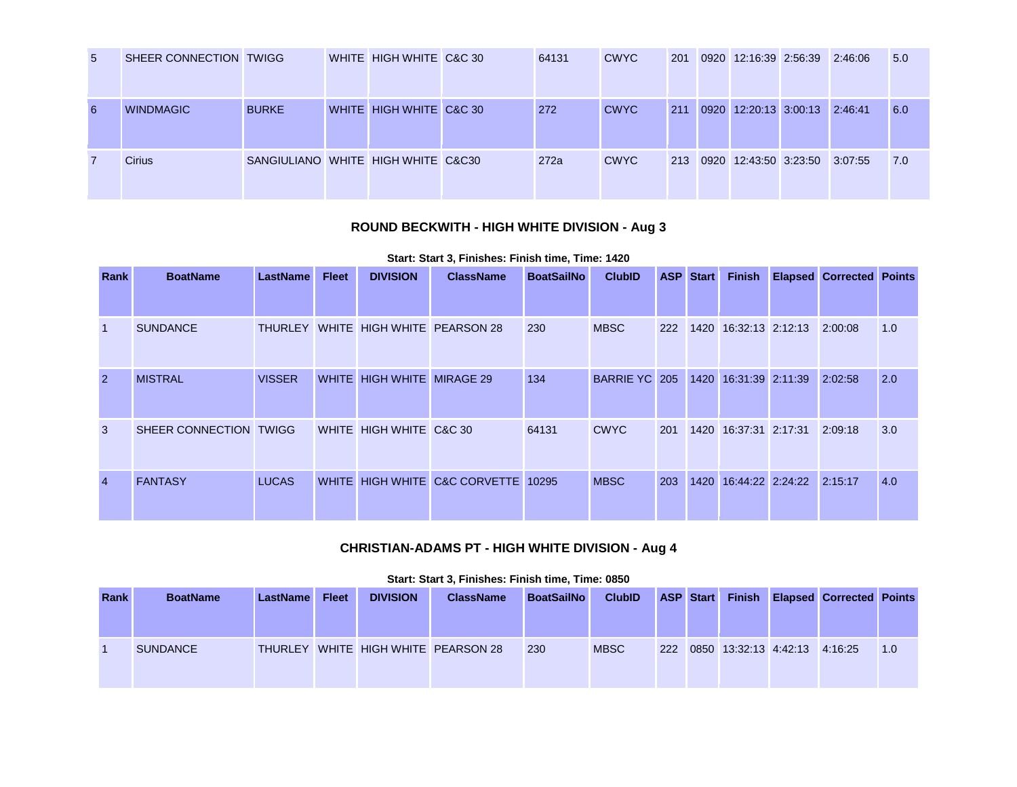| -5 | SHEER CONNECTION TWIGG |                                    | WHITE HIGH WHITE C&C 30 | 64131 | <b>CWYC</b> | 201 | 0920 12:16:39 2:56:39 2:46:06 |         | 5.0 |
|----|------------------------|------------------------------------|-------------------------|-------|-------------|-----|-------------------------------|---------|-----|
| 6  | <b>WINDMAGIC</b>       | <b>BURKE</b>                       | WHITE HIGH WHITE C&C 30 | 272   | <b>CWYC</b> | 211 | 0920 12:20:13 3:00:13         | 2:46:41 | 6.0 |
| 7  | <b>Cirius</b>          | SANGIULIANO WHITE HIGH WHITE C&C30 |                         | 272a  | <b>CWYC</b> | 213 | 0920 12:43:50 3:23:50 3:07:55 |         | 7.0 |

# **ROUND BECKWITH - HIGH WHITE DIVISION - Aug 3**

### **Start: Start 3, Finishes: Finish time, Time: 1420**

| Rank           | <b>BoatName</b>        | LastName      | <b>Fleet</b> | <b>DIVISION</b>            | <b>ClassName</b>                    | <b>BoatSailNo</b> | <b>ClubID</b> |     | <b>ASP</b> Start | <b>Finish</b>         | <b>Elapsed Corrected Points</b> |     |
|----------------|------------------------|---------------|--------------|----------------------------|-------------------------------------|-------------------|---------------|-----|------------------|-----------------------|---------------------------------|-----|
|                |                        |               |              |                            |                                     |                   |               |     |                  |                       |                                 |     |
| $\overline{1}$ | <b>SUNDANCE</b>        |               |              |                            | THURLEY WHITE HIGH WHITE PEARSON 28 | 230               | <b>MBSC</b>   | 222 |                  | 1420 16:32:13 2:12:13 | 2:00:08                         | 1.0 |
| $\overline{2}$ | <b>MISTRAL</b>         | <b>VISSER</b> |              | WHITE HIGH WHITE MIRAGE 29 |                                     | 134               | BARRIE YC 205 |     | 1420             | 16:31:39 2:11:39      | 2:02:58                         | 2.0 |
| 3              | SHEER CONNECTION TWIGG |               |              | WHITE HIGH WHITE C&C 30    |                                     | 64131             | <b>CWYC</b>   | 201 |                  | 1420 16:37:31 2:17:31 | 2:09:18                         | 3.0 |
| $\overline{4}$ | <b>FANTASY</b>         | <b>LUCAS</b>  |              |                            | WHITE HIGH WHITE C&C CORVETTE       | 10295             | <b>MBSC</b>   | 203 | 1420             | 16:44:22 2:24:22      | 2:15:17                         | 4.0 |

### **CHRISTIAN-ADAMS PT - HIGH WHITE DIVISION - Aug 4**

| Start: Start 3, Finishes: Finish time, Time: 0850 |  |  |
|---------------------------------------------------|--|--|
|                                                   |  |  |

| <b>Rank</b> | <b>BoatName</b> | LastName | <b>Fleet</b> | <b>DIVISION</b> | <b>ClassName</b>                    | <b>BoatSailNo</b> | <b>ClubID</b> |  |                                   | ASP Start Finish Elapsed Corrected Points |     |
|-------------|-----------------|----------|--------------|-----------------|-------------------------------------|-------------------|---------------|--|-----------------------------------|-------------------------------------------|-----|
|             | <b>SUNDANCE</b> |          |              |                 | THURLEY WHITE HIGH WHITE PEARSON 28 | 230               | <b>MBSC</b>   |  | 222 0850 13:32:13 4:42:13 4:16:25 |                                           | 1.0 |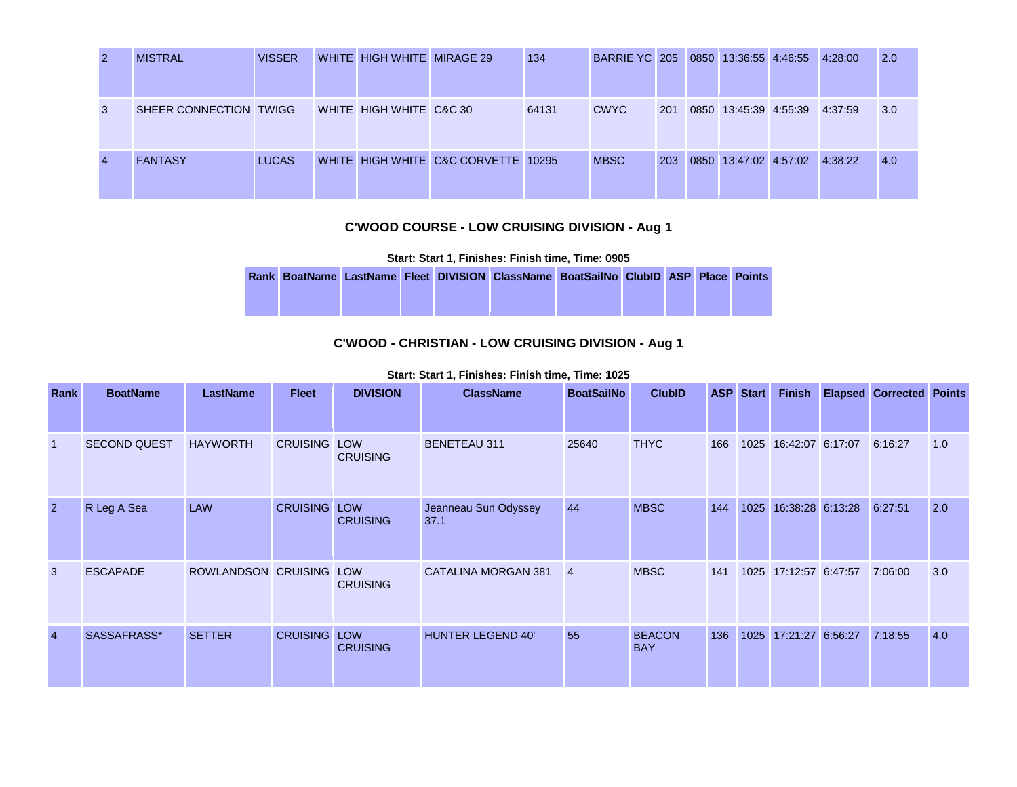| 2              | <b>MISTRAL</b>         | <b>VISSER</b> | WHITE HIGH WHITE MIRAGE 29 |                                     | 134   | BARRIE YC 205 0850 13:36:55 4:46:55 |     |                       | 4:28:00 | 2.0 |
|----------------|------------------------|---------------|----------------------------|-------------------------------------|-------|-------------------------------------|-----|-----------------------|---------|-----|
| 3              | SHEER CONNECTION TWIGG |               | WHITE HIGH WHITE C&C 30    |                                     | 64131 | <b>CWYC</b>                         | 201 | 0850 13:45:39 4:55:39 | 4:37:59 | 3.0 |
| $\overline{4}$ | <b>FANTASY</b>         | <b>LUCAS</b>  |                            | WHITE HIGH WHITE C&C CORVETTE 10295 |       | <b>MBSC</b>                         | 203 | 0850 13:47:02 4:57:02 | 4:38:22 | 4.0 |

### **C'WOOD COURSE - LOW CRUISING DIVISION - Aug 1**

**Start: Start 1, Finishes: Finish time, Time: 0905** 

|  |  |  | Rank BoatName LastName Fleet DIVISION ClassName BoatSailNo ClubID ASP Place Points |  |  |  |
|--|--|--|------------------------------------------------------------------------------------|--|--|--|
|  |  |  |                                                                                    |  |  |  |
|  |  |  |                                                                                    |  |  |  |

### **C'WOOD - CHRISTIAN - LOW CRUISING DIVISION - Aug 1**

**Start: Start 1, Finishes: Finish time, Time: 1025** 

| Rank           | <b>BoatName</b>     | <b>LastName</b>         | <b>Fleet</b>    | <b>DIVISION</b>               | <b>ClassName</b>             | <b>BoatSailNo</b> | <b>ClubID</b>               | <b>ASP</b> | <b>Start</b> | <b>Finish</b>         | <b>Elapsed Corrected Points</b> |     |
|----------------|---------------------|-------------------------|-----------------|-------------------------------|------------------------------|-------------------|-----------------------------|------------|--------------|-----------------------|---------------------------------|-----|
|                |                     |                         |                 |                               |                              |                   |                             |            |              |                       |                                 |     |
| $\mathbf{1}$   | <b>SECOND QUEST</b> | <b>HAYWORTH</b>         | <b>CRUISING</b> | LOW<br><b>CRUISING</b>        | <b>BENETEAU 311</b>          | 25640             | <b>THYC</b>                 | 166        |              | 1025 16:42:07 6:17:07 | 6:16:27                         | 1.0 |
| $\overline{2}$ | R Leg A Sea         | <b>LAW</b>              | <b>CRUISING</b> | <b>LOW</b><br><b>CRUISING</b> | Jeanneau Sun Odyssey<br>37.1 | 44                | <b>MBSC</b>                 | 144        |              | 1025 16:38:28 6:13:28 | 6:27:51                         | 2.0 |
| 3              | <b>ESCAPADE</b>     | ROWLANDSON CRUISING LOW |                 | <b>CRUISING</b>               | <b>CATALINA MORGAN 381</b>   | $\overline{4}$    | <b>MBSC</b>                 | 141        |              | 1025 17:12:57 6:47:57 | 7:06:00                         | 3.0 |
| $\overline{4}$ | SASSAFRASS*         | <b>SETTER</b>           | <b>CRUISING</b> | <b>LOW</b><br><b>CRUISING</b> | <b>HUNTER LEGEND 40'</b>     | 55                | <b>BEACON</b><br><b>BAY</b> | 136        | 1025         | 17:21:27 6:56:27      | 7:18:55                         | 4.0 |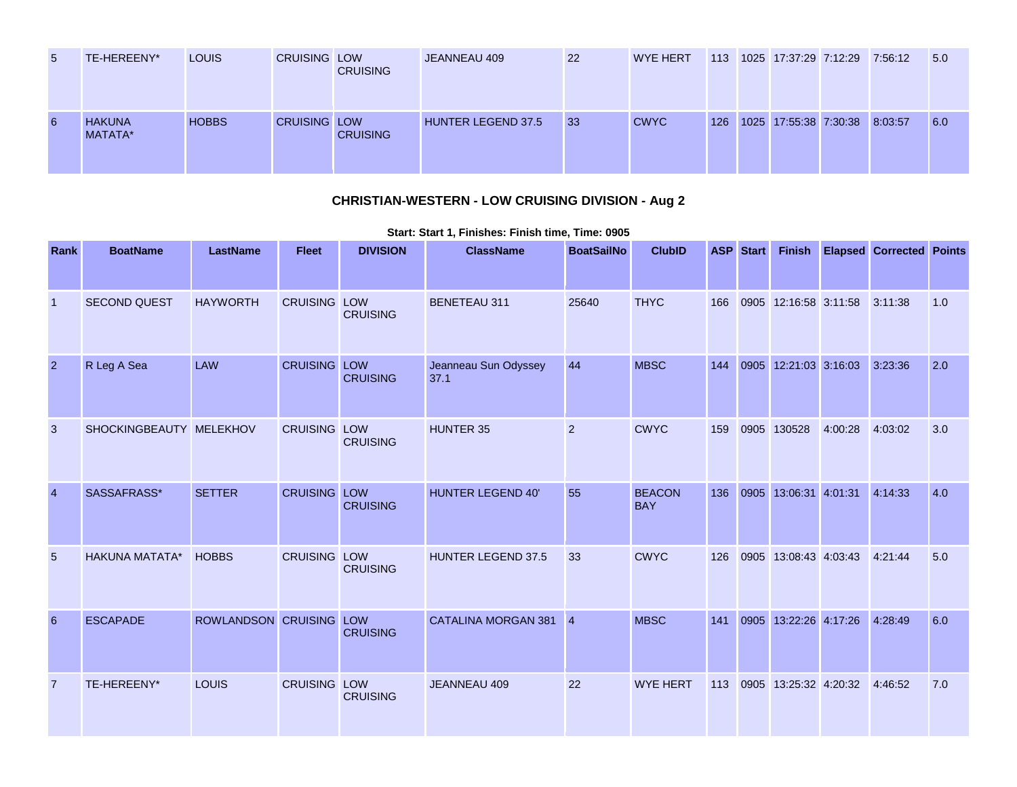| 5 | TE-HEREENY*              | <b>LOUIS</b> | <b>CRUISING LOW</b> | <b>CRUISING</b> | JEANNEAU 409              | 22 | <b>WYE HERT</b> | 113 | 1025 17:37:29 7:12:29 7:56:12 |  | 5.0 |
|---|--------------------------|--------------|---------------------|-----------------|---------------------------|----|-----------------|-----|-------------------------------|--|-----|
| 6 | <b>HAKUNA</b><br>MATATA* | <b>HOBBS</b> | <b>CRUISING LOW</b> | <b>CRUISING</b> | <b>HUNTER LEGEND 37.5</b> | 33 | <b>CWYC</b>     | 126 | 1025 17:55:38 7:30:38 8:03:57 |  | 6.0 |

# **CHRISTIAN-WESTERN - LOW CRUISING DIVISION - Aug 2**

| Rank            | <b>BoatName</b>         | <b>LastName</b>         | <b>Fleet</b>        | <b>DIVISION</b> | <b>ClassName</b>             | <b>BoatSailNo</b> | <b>ClubID</b>               |     | <b>ASP</b> Start |                       |         | Finish Elapsed Corrected Points |     |
|-----------------|-------------------------|-------------------------|---------------------|-----------------|------------------------------|-------------------|-----------------------------|-----|------------------|-----------------------|---------|---------------------------------|-----|
|                 |                         |                         |                     |                 |                              |                   |                             |     |                  |                       |         |                                 |     |
| $\overline{1}$  | <b>SECOND QUEST</b>     | <b>HAYWORTH</b>         | <b>CRUISING LOW</b> | <b>CRUISING</b> | <b>BENETEAU 311</b>          | 25640             | <b>THYC</b>                 | 166 |                  | 0905 12:16:58 3:11:58 |         | 3:11:38                         | 1.0 |
| $\overline{2}$  | R Leg A Sea             | <b>LAW</b>              | <b>CRUISING LOW</b> | <b>CRUISING</b> | Jeanneau Sun Odyssey<br>37.1 | 44                | <b>MBSC</b>                 | 144 |                  | 0905 12:21:03 3:16:03 |         | 3:23:36                         | 2.0 |
| 3               | SHOCKINGBEAUTY MELEKHOV |                         | <b>CRUISING LOW</b> | <b>CRUISING</b> | <b>HUNTER 35</b>             | 2                 | <b>CWYC</b>                 | 159 |                  | 0905 130528           | 4:00:28 | 4:03:02                         | 3.0 |
| $\overline{4}$  | SASSAFRASS*             | <b>SETTER</b>           | <b>CRUISING LOW</b> | <b>CRUISING</b> | <b>HUNTER LEGEND 40'</b>     | 55                | <b>BEACON</b><br><b>BAY</b> | 136 |                  | 0905 13:06:31 4:01:31 |         | 4:14:33                         | 4.0 |
| $5\overline{)}$ | <b>HAKUNA MATATA*</b>   | <b>HOBBS</b>            | <b>CRUISING LOW</b> | <b>CRUISING</b> | HUNTER LEGEND 37.5           | 33                | <b>CWYC</b>                 | 126 |                  | 0905 13:08:43 4:03:43 |         | 4:21:44                         | 5.0 |
| 6               | <b>ESCAPADE</b>         | ROWLANDSON CRUISING LOW |                     | <b>CRUISING</b> | CATALINA MORGAN 381 4        |                   | <b>MBSC</b>                 | 141 |                  | 0905 13:22:26 4:17:26 |         | 4:28:49                         | 6.0 |
| 7               | TE-HEREENY*             | LOUIS                   | <b>CRUISING LOW</b> | <b>CRUISING</b> | JEANNEAU 409                 | 22                | <b>WYE HERT</b>             | 113 |                  | 0905 13:25:32 4:20:32 |         | 4:46:52                         | 7.0 |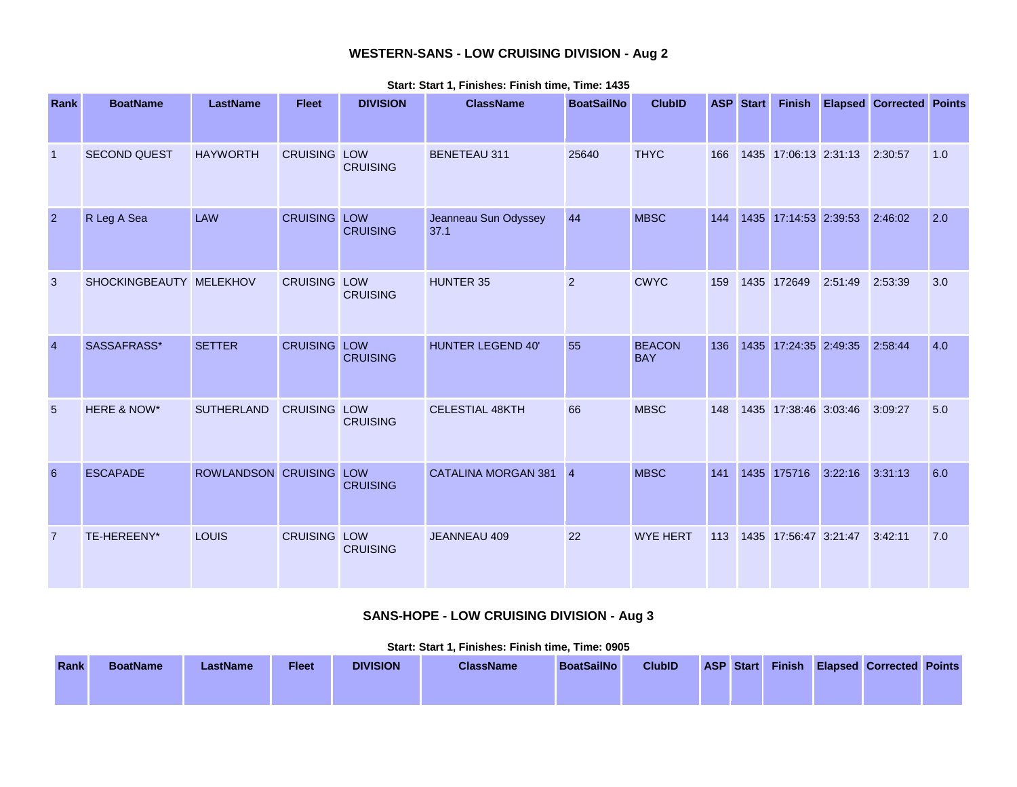## **WESTERN-SANS - LOW CRUISING DIVISION - Aug 2**

| Rank           | <b>BoatName</b>         | <b>LastName</b>         | <b>Fleet</b>        | <b>DIVISION</b> | <b>ClassName</b>             | <b>BoatSailNo</b> | <b>ClubID</b>               |     | <b>ASP</b> Start | <b>Finish</b>         |         | <b>Elapsed Corrected Points</b> |     |
|----------------|-------------------------|-------------------------|---------------------|-----------------|------------------------------|-------------------|-----------------------------|-----|------------------|-----------------------|---------|---------------------------------|-----|
| $\overline{1}$ | SECOND QUEST            | <b>HAYWORTH</b>         | <b>CRUISING LOW</b> | <b>CRUISING</b> | <b>BENETEAU 311</b>          | 25640             | <b>THYC</b>                 | 166 |                  | 1435 17:06:13 2:31:13 |         | 2:30:57                         | 1.0 |
| $\overline{2}$ | R Leg A Sea             | <b>LAW</b>              | <b>CRUISING LOW</b> | <b>CRUISING</b> | Jeanneau Sun Odyssey<br>37.1 | 44                | <b>MBSC</b>                 | 144 |                  | 1435 17:14:53 2:39:53 |         | 2:46:02                         | 2.0 |
| 3              | SHOCKINGBEAUTY MELEKHOV |                         | <b>CRUISING LOW</b> | <b>CRUISING</b> | <b>HUNTER 35</b>             | 2                 | <b>CWYC</b>                 | 159 |                  | 1435 172649           | 2:51:49 | 2:53:39                         | 3.0 |
| $\overline{4}$ | SASSAFRASS*             | <b>SETTER</b>           | <b>CRUISING LOW</b> | <b>CRUISING</b> | <b>HUNTER LEGEND 40'</b>     | 55                | <b>BEACON</b><br><b>BAY</b> | 136 |                  | 1435 17:24:35 2:49:35 |         | 2:58:44                         | 4.0 |
| 5              | HERE & NOW*             | <b>SUTHERLAND</b>       | <b>CRUISING LOW</b> | <b>CRUISING</b> | <b>CELESTIAL 48KTH</b>       | 66                | <b>MBSC</b>                 | 148 |                  | 1435 17:38:46 3:03:46 |         | 3:09:27                         | 5.0 |
| 6              | <b>ESCAPADE</b>         | ROWLANDSON CRUISING LOW |                     | <b>CRUISING</b> | CATALINA MORGAN 381 4        |                   | <b>MBSC</b>                 | 141 |                  | 1435 175716           | 3:22:16 | 3:31:13                         | 6.0 |
| $\overline{7}$ | TE-HEREENY*             | LOUIS                   | <b>CRUISING LOW</b> | <b>CRUISING</b> | JEANNEAU 409                 | 22                | <b>WYE HERT</b>             | 113 |                  | 1435 17:56:47 3:21:47 |         | 3:42:11                         | 7.0 |

**Start: Start 1, Finishes: Finish time, Time: 1435** 

# **SANS-HOPE - LOW CRUISING DIVISION - Aug 3**

|      | Start: Start 1. Finishes: Finish time. Time: 0905 |          |              |                 |                  |                   |               |  |           |  |  |                                        |  |
|------|---------------------------------------------------|----------|--------------|-----------------|------------------|-------------------|---------------|--|-----------|--|--|----------------------------------------|--|
| Rank | <b>BoatName</b>                                   | LastName | <b>Fleet</b> | <b>DIVISION</b> | <b>ClassName</b> | <b>BoatSailNo</b> | <b>ClubID</b> |  | ASP Start |  |  | <b>Finish Elapsed Corrected Points</b> |  |
|      |                                                   |          |              |                 |                  |                   |               |  |           |  |  |                                        |  |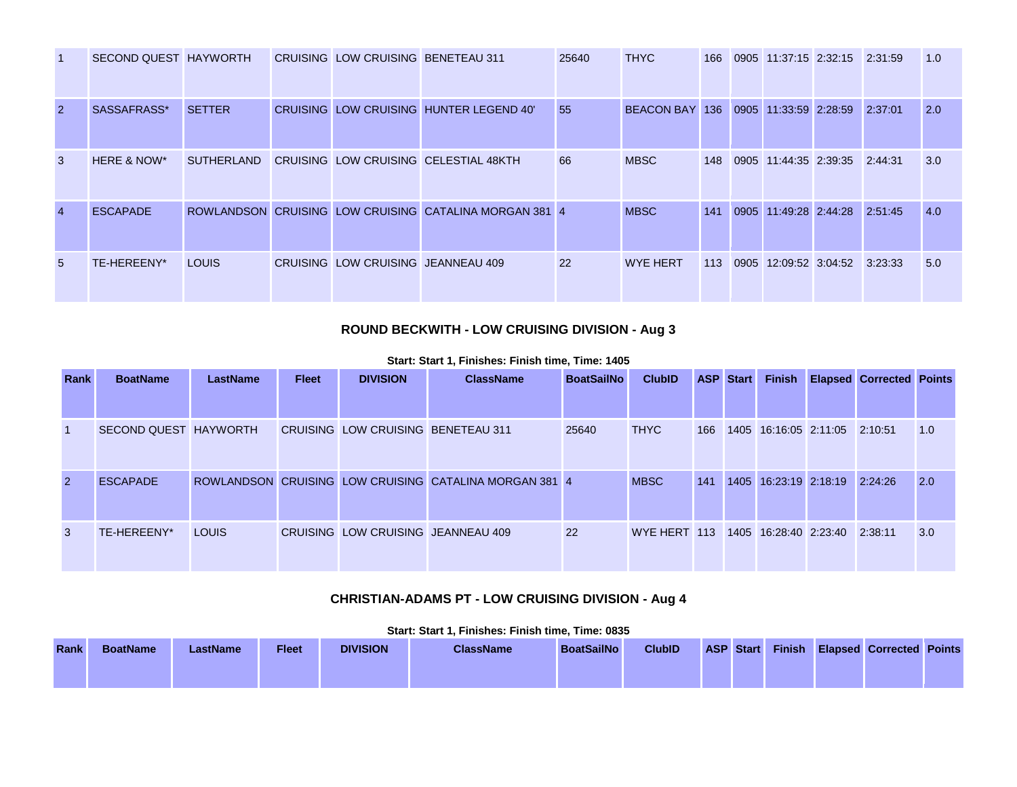| -1             | SECOND QUEST HAYWORTH |                   | CRUISING LOW CRUISING BENETEAU 311 |                                                        | 25640 | <b>THYC</b>                          | 166 | 0905 11:37:15 2:32:15 2:31:59 |         | 1.0 |
|----------------|-----------------------|-------------------|------------------------------------|--------------------------------------------------------|-------|--------------------------------------|-----|-------------------------------|---------|-----|
| $\overline{2}$ | SASSAFRASS*           | <b>SETTER</b>     |                                    | CRUISING LOW CRUISING HUNTER LEGEND 40'                | 55    | BEACON BAY 136 0905 11:33:59 2:28:59 |     |                               | 2:37:01 | 2.0 |
| 3              | HERE & NOW*           | <b>SUTHERLAND</b> |                                    | CRUISING LOW CRUISING CELESTIAL 48KTH                  | 66    | <b>MBSC</b>                          | 148 | 0905 11:44:35 2:39:35         | 2:44:31 | 3.0 |
| $\overline{4}$ | <b>ESCAPADE</b>       |                   |                                    | ROWLANDSON CRUISING LOW CRUISING CATALINA MORGAN 381 4 |       | <b>MBSC</b>                          | 141 | 0905 11:49:28 2:44:28         | 2:51:45 | 4.0 |
| 5              | TE-HEREENY*           | <b>LOUIS</b>      | CRUISING LOW CRUISING JEANNEAU 409 |                                                        | 22    | <b>WYE HERT</b>                      | 113 | 0905 12:09:52 3:04:52         | 3:23:33 | 5.0 |

#### **ROUND BECKWITH - LOW CRUISING DIVISION - Aug 3**

**Rank BoatName LastName Fleet DIVISION ClassName BoatSailNo ClubID ASP Start Finish Elapsed Corrected Points** 1 SECOND QUEST HAYWORTH CRUISING LOW CRUISING BENETEAU 311 25640 THYC 166 1405 16:16:05 2:11:05 2:10:51 1.0 2 ESCAPADE ROWLANDSON CRUISING LOW CRUISING CATALINA MORGAN 381 4 MBSC 141 1405 16:23:19 2:18:19 2:24:26 2.0 3 TE-HEREENY\* LOUIS CRUISING LOW CRUISING JEANNEAU 409 22 WYE HERT 113 1405 16:28:40 2:23:40 2:38:11 3.0

#### **Start: Start 1, Finishes: Finish time, Time: 1405**

### **CHRISTIAN-ADAMS PT - LOW CRUISING DIVISION - Aug 4**

|             |                 |                 |              |                 | لالات العامل العالمية العالمية المستقادة المناصر المناصر المناصر المناصر المناصر المستقادة المستقادة المستقادة |                   |               |                  |        |                                 |  |
|-------------|-----------------|-----------------|--------------|-----------------|----------------------------------------------------------------------------------------------------------------|-------------------|---------------|------------------|--------|---------------------------------|--|
| <b>Rank</b> | <b>BoatName</b> | <b>LastName</b> | <b>Fleet</b> | <b>DIVISION</b> | <b>ClassName</b>                                                                                               | <b>BoatSailNo</b> | <b>ClubID</b> | <b>ASP Start</b> | Finish | <b>Elapsed Corrected Points</b> |  |
|             |                 |                 |              |                 |                                                                                                                |                   |               |                  |        |                                 |  |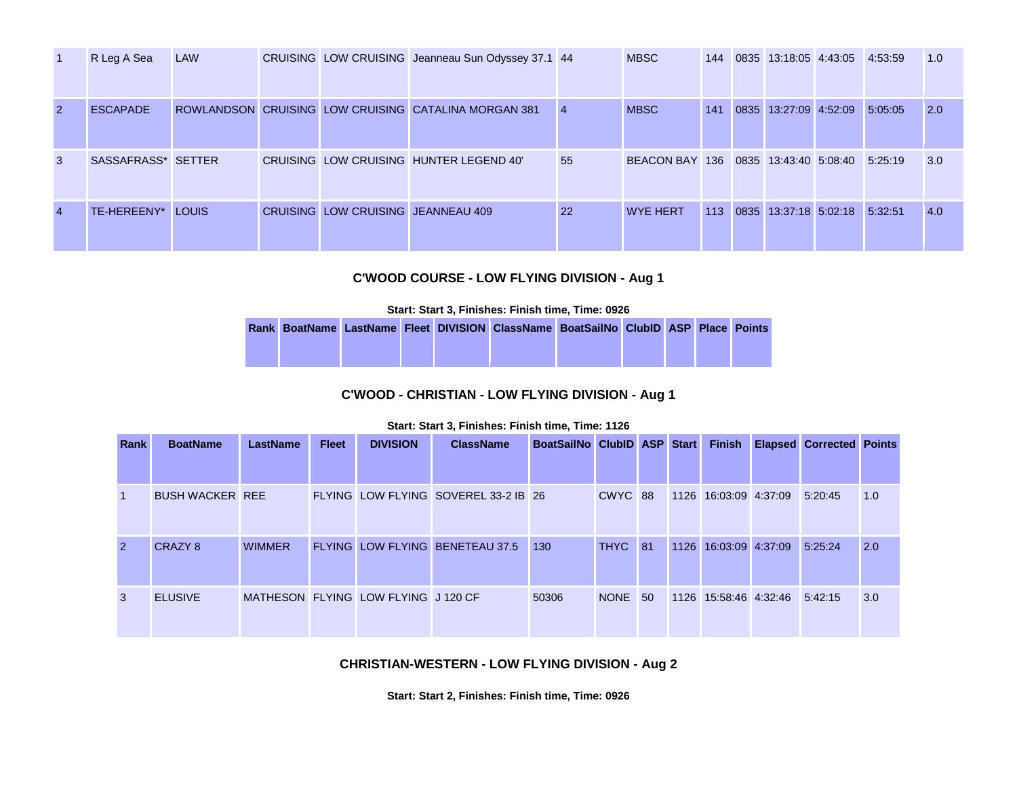| $\vert$ 1      | R Leg A Sea        | LAW |                                    | CRUISING LOW CRUISING Jeanneau Sun Odyssey 37.1 44   |                | <b>MBSC</b>                          | 144 | 0835 13:18:05 4:43:05 4:53:59 |         | 1.0 |
|----------------|--------------------|-----|------------------------------------|------------------------------------------------------|----------------|--------------------------------------|-----|-------------------------------|---------|-----|
| <sup>2</sup>   | <b>ESCAPADE</b>    |     |                                    | ROWLANDSON CRUISING LOW CRUISING CATALINA MORGAN 381 | $\overline{4}$ | <b>MBSC</b>                          | 141 | 0835 13:27:09 4:52:09         | 5:05:05 | 2.0 |
| 3              | SASSAFRASS* SETTER |     |                                    | CRUISING LOW CRUISING HUNTER LEGEND 40'              | 55             | BEACON BAY 136 0835 13:43:40 5:08:40 |     |                               | 5:25:19 | 3.0 |
| $\overline{4}$ | TE-HEREENY* LOUIS  |     | CRUISING LOW CRUISING JEANNEAU 409 |                                                      | 22             | <b>WYE HERT</b>                      | 113 | 0835 13:37:18 5:02:18         | 5:32:51 | 4.0 |

### **C'WOOD COURSE - LOW FLYING DIVISION - Aug 1**

**Start: Start 3, Finishes: Finish time, Time: 0926** 

|  |  | Rank BoatName LastName Fleet DIVISION ClassName BoatSailNo ClubID ASP Place Points |  |  |  |
|--|--|------------------------------------------------------------------------------------|--|--|--|
|  |  |                                                                                    |  |  |  |
|  |  |                                                                                    |  |  |  |

### **C'WOOD - CHRISTIAN - LOW FLYING DIVISION - Aug 1**

#### **Start: Start 3, Finishes: Finish time, Time: 1126**

| Rank           | <b>BoatName</b>        | LastName      | <b>Fleet</b> | <b>DIVISION</b>                     | <b>ClassName</b>                     | BoatSailNo ClubID ASP Start |         |  | <b>Finish</b>         | <b>Elapsed Corrected Points</b> |     |
|----------------|------------------------|---------------|--------------|-------------------------------------|--------------------------------------|-----------------------------|---------|--|-----------------------|---------------------------------|-----|
|                |                        |               |              |                                     |                                      |                             |         |  |                       |                                 |     |
| $\vert$ 1      | <b>BUSH WACKER REE</b> |               |              |                                     | FLYING LOW FLYING SOVEREL 33-2 IB 26 |                             | CWYC 88 |  | 1126 16:03:09 4:37:09 | 5:20:45                         | 1.0 |
| $\overline{2}$ | CRAZY 8                | <b>WIMMER</b> |              |                                     | FLYING LOW FLYING BENETEAU 37.5      | 130                         | THYC 81 |  | 1126 16:03:09 4:37:09 | 5:25:24                         | 2.0 |
| 3              | <b>ELUSIVE</b>         |               |              | MATHESON FLYING LOW FLYING J 120 CF |                                      | 50306                       | NONE 50 |  | 1126 15:58:46 4:32:46 | 5:42:15                         | 3.0 |

### **CHRISTIAN-WESTERN - LOW FLYING DIVISION - Aug 2**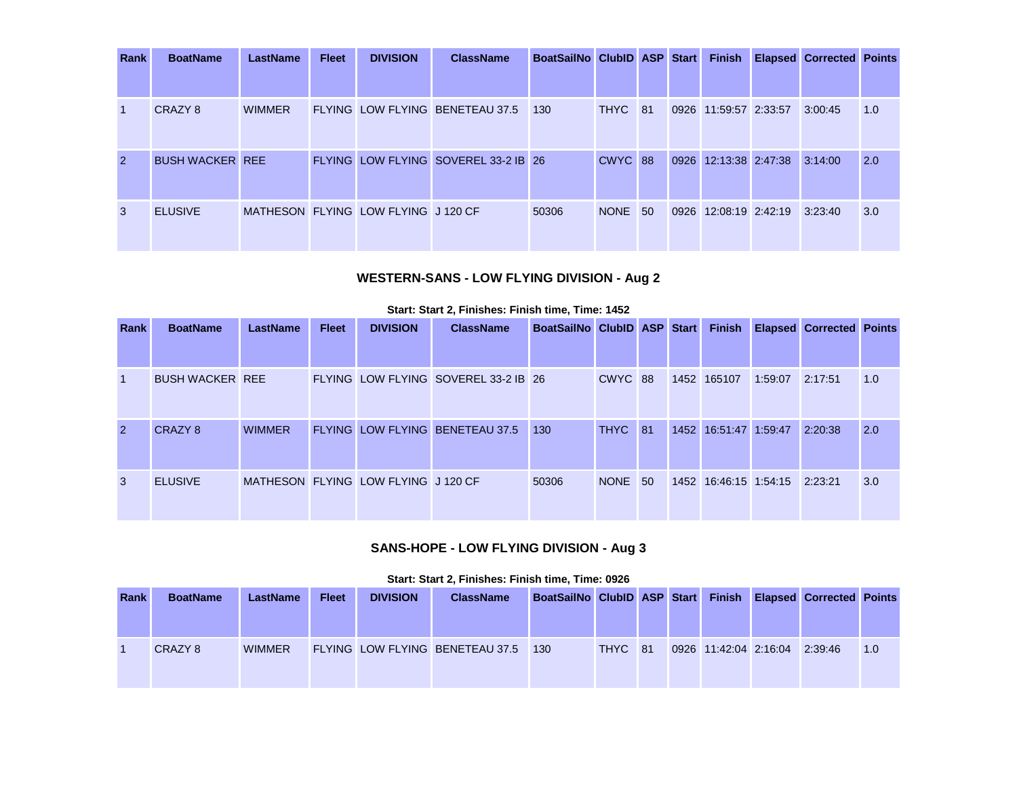| Rank           | <b>BoatName</b>        | <b>LastName</b> | <b>Fleet</b> | <b>DIVISION</b>                     | <b>ClassName</b>                     | BoatSailNo ClubID ASP Start |         |  | <b>Finish</b>         |                               | <b>Elapsed Corrected Points</b> |     |
|----------------|------------------------|-----------------|--------------|-------------------------------------|--------------------------------------|-----------------------------|---------|--|-----------------------|-------------------------------|---------------------------------|-----|
|                |                        |                 |              |                                     |                                      |                             |         |  |                       |                               |                                 |     |
| $\overline{1}$ | CRAZY 8                | <b>WIMMER</b>   |              |                                     | FLYING LOW FLYING BENETEAU 37.5 130  |                             | THYC 81 |  | 0926 11:59:57 2:33:57 |                               | 3:00:45                         | 1.0 |
| $\overline{2}$ | <b>BUSH WACKER REE</b> |                 |              |                                     | FLYING LOW FLYING SOVEREL 33-2 IB 26 |                             | CWYC 88 |  |                       | 0926 12:13:38 2:47:38 3:14:00 |                                 | 2.0 |
| 3              | <b>ELUSIVE</b>         |                 |              | MATHESON FLYING LOW FLYING J 120 CF |                                      | 50306                       | NONE 50 |  | 0926 12:08:19 2:42:19 |                               | 3:23:40                         | 3.0 |

# **WESTERN-SANS - LOW FLYING DIVISION - Aug 2**

|                |                 |                                           |              |                 |                                                                                                   |                                      |             |                          | 1:59:07                                                     |                                                | 1.0                                                              |
|----------------|-----------------|-------------------------------------------|--------------|-----------------|---------------------------------------------------------------------------------------------------|--------------------------------------|-------------|--------------------------|-------------------------------------------------------------|------------------------------------------------|------------------------------------------------------------------|
|                |                 |                                           |              |                 |                                                                                                   |                                      |             |                          |                                                             |                                                |                                                                  |
| CRAZY 8        | <b>WIMMER</b>   |                                           |              |                 | 130                                                                                               |                                      |             |                          |                                                             |                                                | 2.0                                                              |
|                |                 |                                           |              |                 |                                                                                                   |                                      |             |                          |                                                             |                                                |                                                                  |
| <b>ELUSIVE</b> |                 |                                           |              |                 | 50306                                                                                             |                                      |             |                          |                                                             |                                                | 3.0                                                              |
|                |                 |                                           |              |                 |                                                                                                   |                                      |             |                          |                                                             |                                                |                                                                  |
|                | <b>BoatName</b> | <b>LastName</b><br><b>BUSH WACKER REE</b> | <b>Fleet</b> | <b>DIVISION</b> | <b>ClassName</b><br><b>FLYING LOW FLYING BENETEAU 37.5</b><br>MATHESON FLYING LOW FLYING J 120 CF | FLYING LOW FLYING SOVEREL 33-2 IB 26 | <b>NONE</b> | CWYC 88<br>THYC 81<br>50 | BoatSailNo ClubID ASP Start<br><b>Finish</b><br>1452 165107 | 1452 16:51:47 1:59:47<br>1452 16:46:15 1:54:15 | <b>Elapsed Corrected Points</b><br>2:17:51<br>2:20:38<br>2:23:21 |

#### **Start: Start 2, Finishes: Finish time, Time: 1452**

### **SANS-HOPE - LOW FLYING DIVISION - Aug 3**

| Rank | <b>BoatName</b> | <b>LastName</b> | <b>Fleet</b> | <b>DIVISION</b> | <b>ClassName</b>                    | BoatSailNo ClubID ASP Start |         |  |                               | <b>Finish Elapsed Corrected Points</b> |     |
|------|-----------------|-----------------|--------------|-----------------|-------------------------------------|-----------------------------|---------|--|-------------------------------|----------------------------------------|-----|
|      | CRAZY 8         | <b>WIMMER</b>   |              |                 | FLYING LOW FLYING BENETEAU 37.5 130 |                             | THYC 81 |  | 0926 11:42:04 2:16:04 2:39:46 |                                        | 1.0 |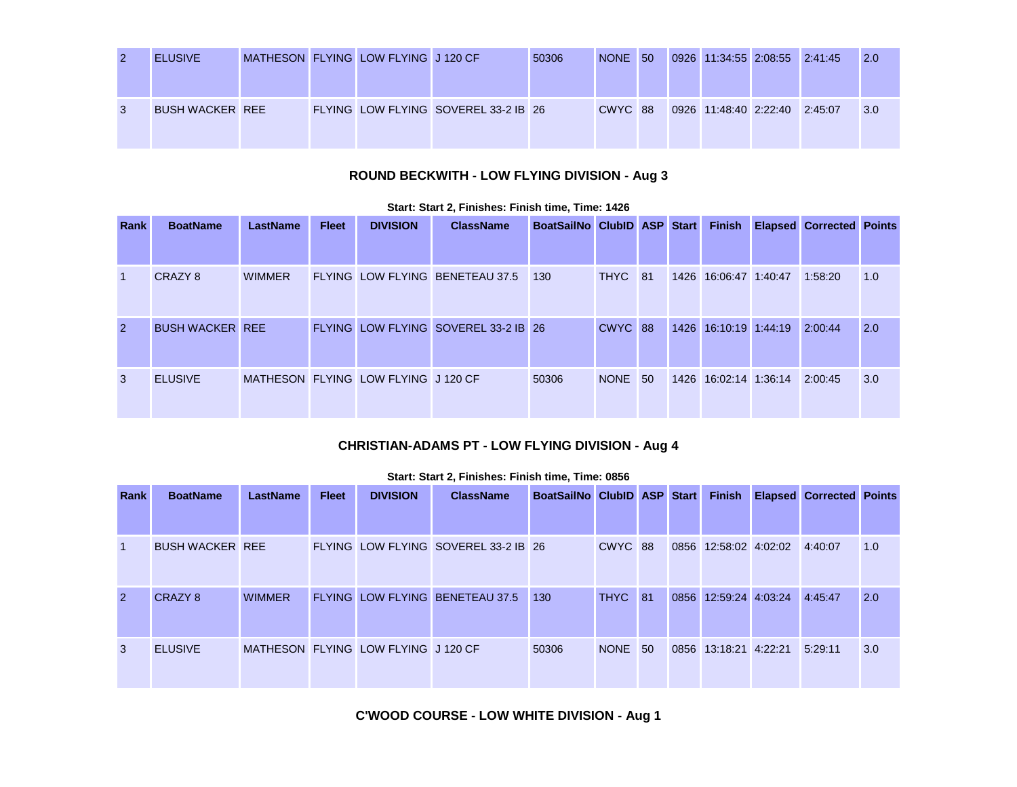| $\overline{2}$ | <b>ELUSIVE</b>         |  | MATHESON FLYING LOW FLYING J 120 CF |                                      | 50306 | NONE 50 |  | 0926 11:34:55 2:08:55 2:41:45 |  | 12.0         |
|----------------|------------------------|--|-------------------------------------|--------------------------------------|-------|---------|--|-------------------------------|--|--------------|
| $\mathbf{3}$   | <b>BUSH WACKER REE</b> |  |                                     | FLYING LOW FLYING SOVEREL 33-2 IB 26 |       | CWYC 88 |  | 0926 11:48:40 2:22:40 2:45:07 |  | $\sqrt{3.0}$ |

# **ROUND BECKWITH - LOW FLYING DIVISION - Aug 3**

| <b>Rank</b>  | <b>BoatName</b>        | LastName      | <b>Fleet</b> | <b>DIVISION</b>                     | <b>ClassName</b>                     | <b>BoatSailNo ClubID ASP Start</b> |             |    | <b>Finish</b>         | <b>Elapsed Corrected Points</b> |     |
|--------------|------------------------|---------------|--------------|-------------------------------------|--------------------------------------|------------------------------------|-------------|----|-----------------------|---------------------------------|-----|
| $\mathbf{1}$ | CRAZY 8                | <b>WIMMER</b> |              |                                     | FLYING LOW FLYING BENETEAU 37.5      | 130                                | THYC 81     |    | 1426 16:06:47 1:40:47 | 1:58:20                         | 1.0 |
| 2            | <b>BUSH WACKER REE</b> |               |              |                                     | FLYING LOW FLYING SOVEREL 33-2 IB 26 |                                    | CWYC 88     |    | 1426 16:10:19 1:44:19 | 2:00:44                         | 2.0 |
| 3            | <b>ELUSIVE</b>         |               |              | MATHESON FLYING LOW FLYING J 120 CF |                                      | 50306                              | <b>NONE</b> | 50 | 1426 16:02:14 1:36:14 | 2:00:45                         | 3.0 |

#### **Start: Start 2, Finishes: Finish time, Time: 1426**

### **CHRISTIAN-ADAMS PT - LOW FLYING DIVISION - Aug 4**

| <b>Rank</b>    | <b>BoatName</b>        | LastName      | <b>Fleet</b> | <b>DIVISION</b>                     | <b>ClassName</b>                     | BoatSailNo ClubID ASP Start |             |        |      | <b>Finish</b>         | <b>Elapsed Corrected Points</b> |     |
|----------------|------------------------|---------------|--------------|-------------------------------------|--------------------------------------|-----------------------------|-------------|--------|------|-----------------------|---------------------------------|-----|
| $\vert$ 1      | <b>BUSH WACKER REE</b> |               |              |                                     | FLYING LOW FLYING SOVEREL 33-2 IB 26 |                             | CWYC 88     |        |      | 0856 12:58:02 4:02:02 | 4:40:07                         | 1.0 |
| $\overline{2}$ | CRAZY 8                | <b>WIMMER</b> |              |                                     | FLYING LOW FLYING BENETEAU 37.5      | 130                         | <b>THYC</b> | $\P81$ | 0856 | 12:59:24 4:03:24      | 4:45:47                         | 2.0 |
| 3              | <b>ELUSIVE</b>         |               |              | MATHESON FLYING LOW FLYING J 120 CF |                                      | 50306                       | NONE 50     |        |      | 0856 13:18:21 4:22:21 | 5:29:11                         | 3.0 |

#### **Start: Start 2, Finishes: Finish time, Time: 0856**

**C'WOOD COURSE - LOW WHITE DIVISION - Aug 1**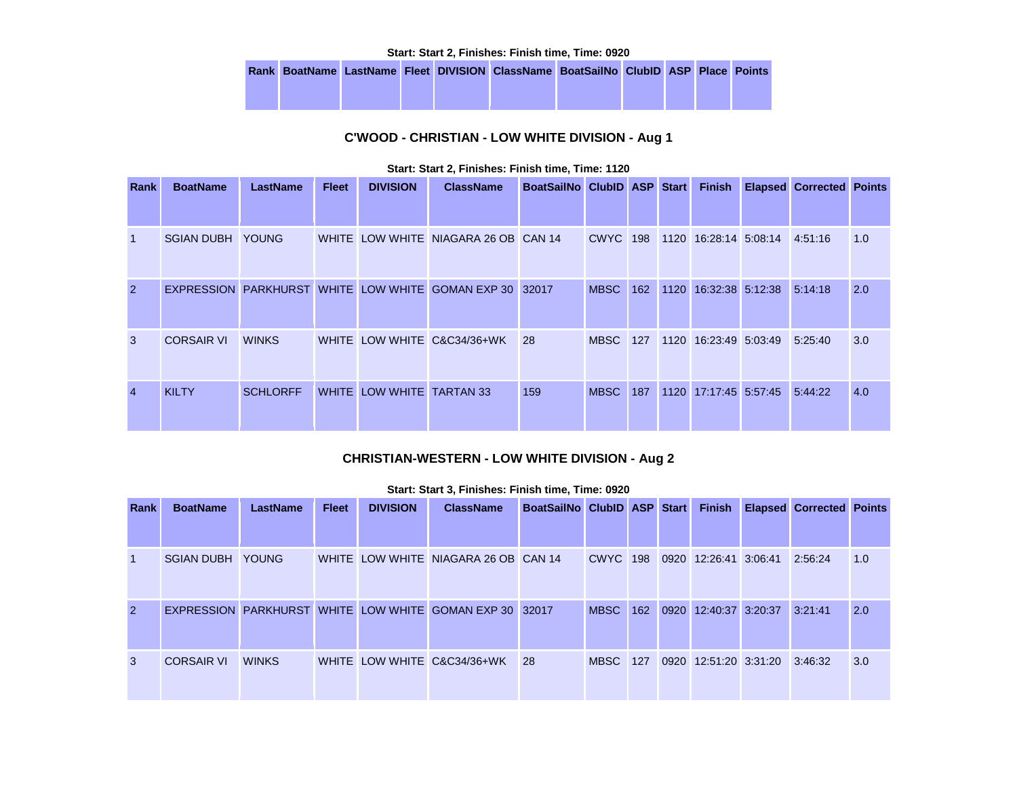**Start: Start 2, Finishes: Finish time, Time: 0920** 

|  |  | Rank BoatName LastName Fleet DIVISION ClassName BoatSailNo ClubID ASP Place Points |  |  |  |
|--|--|------------------------------------------------------------------------------------|--|--|--|
|  |  |                                                                                    |  |  |  |
|  |  |                                                                                    |  |  |  |

### **C'WOOD - CHRISTIAN - LOW WHITE DIVISION - Aug 1**

| Rank           | <b>BoatName</b>   | <b>LastName</b> | <b>Fleet</b> | <b>DIVISION</b>           | <b>ClassName</b>                                        | BoatSailNo ClubID ASP Start |                 |     |      | <b>Finish</b>         | <b>Elapsed Corrected Points</b> |     |
|----------------|-------------------|-----------------|--------------|---------------------------|---------------------------------------------------------|-----------------------------|-----------------|-----|------|-----------------------|---------------------------------|-----|
| $\mathbf{1}$   | <b>SGIAN DUBH</b> | <b>YOUNG</b>    |              |                           | WHITE LOW WHITE NIAGARA 26 OB CAN 14                    |                             | <b>CWYC</b> 198 |     |      | 1120 16:28:14 5:08:14 | 4:51:16                         | 1.0 |
| $\overline{2}$ |                   |                 |              |                           | EXPRESSION PARKHURST WHITE LOW WHITE GOMAN EXP 30 32017 |                             | <b>MBSC</b>     | 162 | 1120 | 16:32:38 5:12:38      | 5:14:18                         | 2.0 |
| 3              | <b>CORSAIR VI</b> | <b>WINKS</b>    |              |                           | WHITE LOW WHITE C&C34/36+WK                             | 28                          | <b>MBSC</b>     | 127 |      | 1120 16:23:49 5:03:49 | 5:25:40                         | 3.0 |
| $\overline{4}$ | <b>KILTY</b>      | <b>SCHLORFF</b> |              | WHITE LOW WHITE TARTAN 33 |                                                         | 159                         | <b>MBSC</b>     | 187 | 1120 | 17:17:45 5:57:45      | 5:44:22                         | 4.0 |

#### **Start: Start 2, Finishes: Finish time, Time: 1120**

### **CHRISTIAN-WESTERN - LOW WHITE DIVISION - Aug 2**

| <b>Rank</b>    | <b>BoatName</b>   | <b>LastName</b> | <b>Fleet</b> | <b>DIVISION</b> | <b>ClassName</b>                                        | BoatSailNo ClubID ASP Start |             |     | <b>Finish</b>                 | <b>Elapsed Corrected Points</b> |     |
|----------------|-------------------|-----------------|--------------|-----------------|---------------------------------------------------------|-----------------------------|-------------|-----|-------------------------------|---------------------------------|-----|
|                |                   |                 |              |                 |                                                         |                             |             |     |                               |                                 |     |
| $\overline{1}$ | <b>SGIAN DUBH</b> | <b>YOUNG</b>    |              |                 | WHITE LOW WHITE NIAGARA 26 OB CAN 14                    |                             | <b>CWYC</b> | 198 | 0920 12:26:41 3:06:41         | 2:56:24                         | 1.0 |
| $\overline{2}$ |                   |                 |              |                 | EXPRESSION PARKHURST WHITE LOW WHITE GOMAN EXP 30 32017 |                             | <b>MBSC</b> | 162 | 0920 12:40:37 3:20:37         | 3:21:41                         | 2.0 |
| 3              | <b>CORSAIR VI</b> | <b>WINKS</b>    |              |                 | WHITE LOW WHITE C&C34/36+WK                             | 28                          | <b>MBSC</b> | 127 | 0920 12:51:20 3:31:20 3:46:32 |                                 | 3.0 |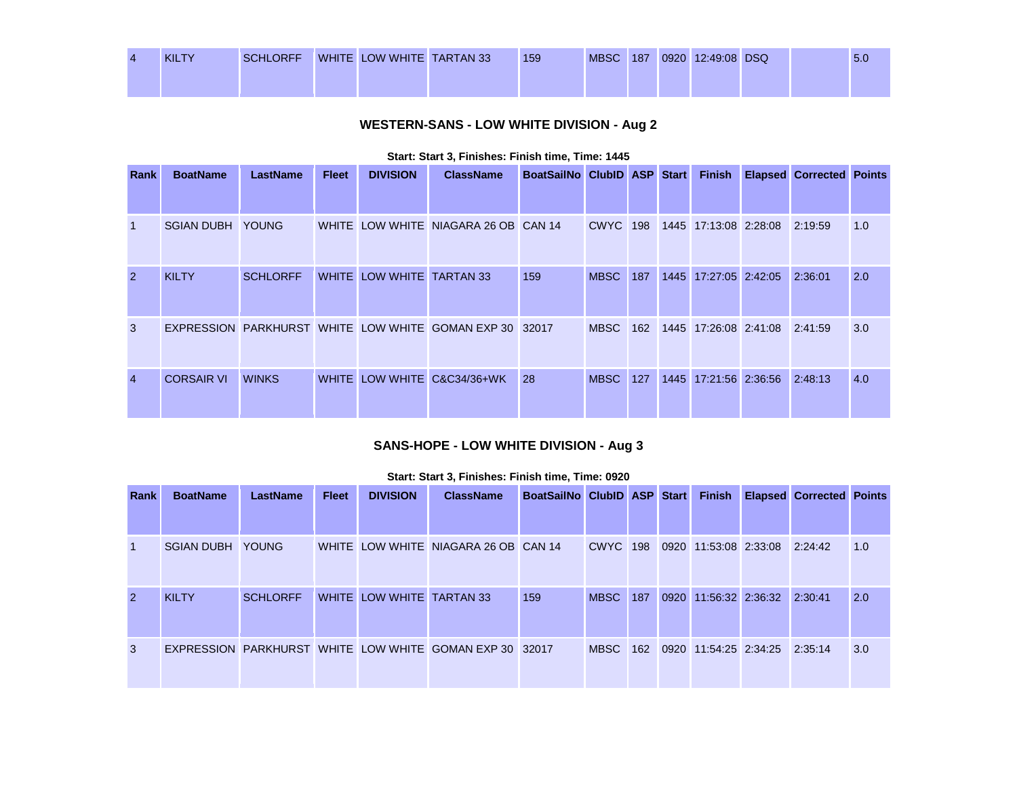| <b>KILTY</b> | <b>SCHLORFF</b> | WHITE LOW WHITE TARTAN 33 | 159 | <b>MBSC</b> | 187 | 0920 12:49:08 DSQ |  | 5.0 |
|--------------|-----------------|---------------------------|-----|-------------|-----|-------------------|--|-----|
|              |                 |                           |     |             |     |                   |  |     |

# **WESTERN-SANS - LOW WHITE DIVISION - Aug 2**

| Rank           | <b>BoatName</b>         | <b>LastName</b> | <b>Fleet</b> | <b>DIVISION</b>           | <b>ClassName</b>                                  | BoatSailNo ClubID ASP Start |                 |     | <b>Finish</b>         | <b>Elapsed Corrected Points</b> |     |
|----------------|-------------------------|-----------------|--------------|---------------------------|---------------------------------------------------|-----------------------------|-----------------|-----|-----------------------|---------------------------------|-----|
| $\mathbf{1}$   | <b>SGIAN DUBH YOUNG</b> |                 |              |                           | WHITE LOW WHITE NIAGARA 26 OB CAN 14              |                             | <b>CWYC</b> 198 |     | 1445 17:13:08 2:28:08 | 2:19:59                         | 1.0 |
| 2              | <b>KILTY</b>            | <b>SCHLORFF</b> |              | WHITE LOW WHITE TARTAN 33 |                                                   | 159                         | <b>MBSC</b>     | 187 | 1445 17:27:05 2:42:05 | 2:36:01                         | 2.0 |
| 3              |                         |                 |              |                           | EXPRESSION PARKHURST WHITE LOW WHITE GOMAN EXP 30 | 32017                       | <b>MBSC</b>     | 162 | 1445 17:26:08 2:41:08 | 2:41:59                         | 3.0 |
| $\overline{4}$ | <b>CORSAIR VI</b>       | <b>WINKS</b>    |              |                           | WHITE LOW WHITE C&C34/36+WK                       | 28                          | <b>MBSC</b>     | 127 | 1445 17:21:56 2:36:56 | 2:48:13                         | 4.0 |

#### **Start: Start 3, Finishes: Finish time, Time: 1445**

# **SANS-HOPE - LOW WHITE DIVISION - Aug 3**

| Rank           | <b>BoatName</b>   | <b>LastName</b> | <b>Fleet</b> | <b>DIVISION</b>           | <b>ClassName</b>                                        | BoatSailNo ClubID ASP Start |                 |     | <b>Finish</b>                 | <b>Elapsed Corrected Points</b> |     |
|----------------|-------------------|-----------------|--------------|---------------------------|---------------------------------------------------------|-----------------------------|-----------------|-----|-------------------------------|---------------------------------|-----|
|                |                   |                 |              |                           |                                                         |                             |                 |     |                               |                                 |     |
| $\vert$ 1      | <b>SGIAN DUBH</b> | <b>YOUNG</b>    |              |                           | WHITE LOW WHITE NIAGARA 26 OB CAN 14                    |                             | <b>CWYC 198</b> |     | 0920 11:53:08 2:33:08         | 2:24:42                         | 1.0 |
| $\overline{2}$ | <b>KILTY</b>      | <b>SCHLORFF</b> |              | WHITE LOW WHITE TARTAN 33 |                                                         | 159                         | <b>MBSC</b>     | 187 | 0920 11:56:32 2:36:32         | 2:30:41                         | 2.0 |
| 3              |                   |                 |              |                           | EXPRESSION PARKHURST WHITE LOW WHITE GOMAN EXP 30 32017 |                             | <b>MBSC</b>     | 162 | 0920 11:54:25 2:34:25 2:35:14 |                                 | 3.0 |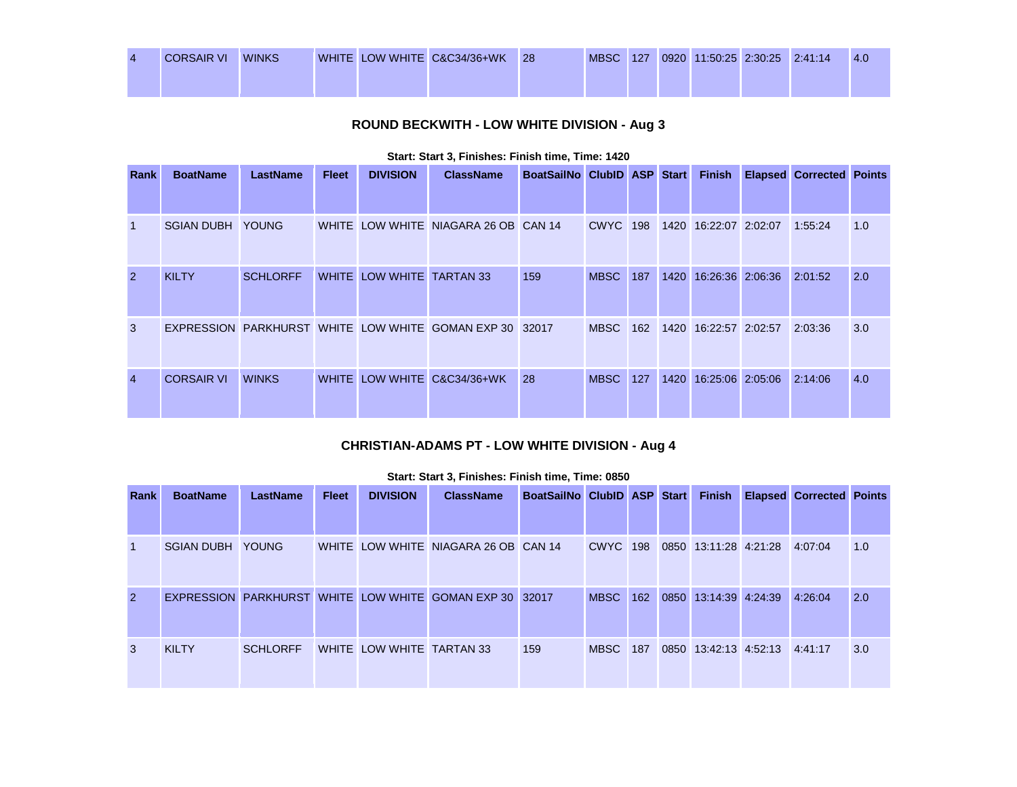| <b>CORSAIR VI</b> | <b>WINKS</b> |  | WHITE LOW WHITE C&C34/36+WK | -28 | <b>MBSC</b> | 127 | 0920 11:50:25 2:30:25 2:41:14 |  | -4.0 |
|-------------------|--------------|--|-----------------------------|-----|-------------|-----|-------------------------------|--|------|
|                   |              |  |                             |     |             |     |                               |  |      |

# **ROUND BECKWITH - LOW WHITE DIVISION - Aug 3**

| <b>Rank</b>    | <b>BoatName</b>   | <b>LastName</b> | <b>Fleet</b> | <b>DIVISION</b>           | <b>ClassName</b>                                        | BoatSailNo ClubID ASP Start |                 |     | <b>Finish</b>         | <b>Elapsed Corrected Points</b> |     |
|----------------|-------------------|-----------------|--------------|---------------------------|---------------------------------------------------------|-----------------------------|-----------------|-----|-----------------------|---------------------------------|-----|
| -1             | <b>SGIAN DUBH</b> | <b>YOUNG</b>    |              |                           | WHITE LOW WHITE NIAGARA 26 OB CAN 14                    |                             | <b>CWYC</b> 198 |     | 1420 16:22:07 2:02:07 | 1:55:24                         | 1.0 |
| $\overline{2}$ | <b>KILTY</b>      | <b>SCHLORFF</b> |              | WHITE LOW WHITE TARTAN 33 |                                                         | 159                         | <b>MBSC</b>     | 187 | 1420 16:26:36 2:06:36 | 2:01:52                         | 2.0 |
| 3              |                   |                 |              |                           | EXPRESSION PARKHURST WHITE LOW WHITE GOMAN EXP 30 32017 |                             | <b>MBSC</b>     | 162 | 1420 16:22:57 2:02:57 | 2:03:36                         | 3.0 |
| $\overline{4}$ | <b>CORSAIR VI</b> | <b>WINKS</b>    |              |                           | WHITE LOW WHITE C&C34/36+WK                             | 28                          | <b>MBSC</b>     | 127 | 1420 16:25:06 2:05:06 | 2:14:06                         | 4.0 |

#### **Start: Start 3, Finishes: Finish time, Time: 1420**

### **CHRISTIAN-ADAMS PT - LOW WHITE DIVISION - Aug 4**

| Start: Start 3, Finishes: Finish time, Time: 0850 |  |  |  |
|---------------------------------------------------|--|--|--|
|                                                   |  |  |  |

| Rank           | <b>BoatName</b>         | LastName        | <b>Fleet</b> | <b>DIVISION</b>           | <b>ClassName</b>                                        | BoatSailNo ClubID ASP Start |                 |     | <b>Finish</b>                 | <b>Elapsed Corrected Points</b> |     |
|----------------|-------------------------|-----------------|--------------|---------------------------|---------------------------------------------------------|-----------------------------|-----------------|-----|-------------------------------|---------------------------------|-----|
|                |                         |                 |              |                           |                                                         |                             |                 |     |                               |                                 |     |
|                | <b>SGIAN DUBH YOUNG</b> |                 |              |                           | WHITE LOW WHITE NIAGARA 26 OB CAN 14                    |                             | <b>CWYC</b> 198 |     | 0850 13:11:28 4:21:28         | 4:07:04                         | 1.0 |
| $\overline{2}$ |                         |                 |              |                           | EXPRESSION PARKHURST WHITE LOW WHITE GOMAN EXP 30 32017 |                             | <b>MBSC</b>     | 162 | 0850 13:14:39 4:24:39         | 4:26:04                         | 2.0 |
| 3              | <b>KILTY</b>            | <b>SCHLORFF</b> |              | WHITE LOW WHITE TARTAN 33 |                                                         | 159                         | <b>MBSC</b>     | 187 | 0850 13:42:13 4:52:13 4:41:17 |                                 | 3.0 |